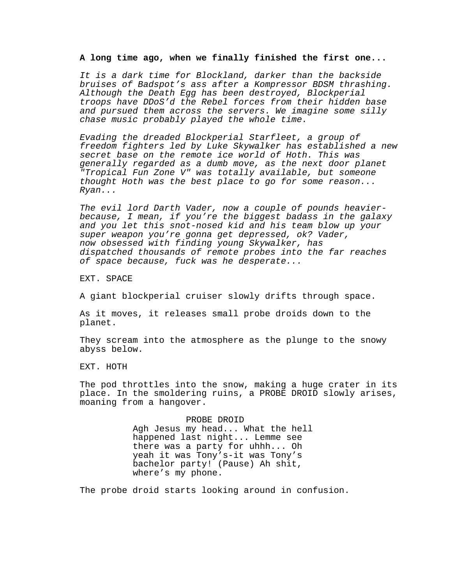## **A long time ago, when we finally finished the first one...**

*It is a dark time for Blockland, darker than the backside bruises of Badspot's ass after a Kompressor BDSM thrashing. Although the Death Egg has been destroyed, Blockperial troops have DDoS'd the Rebel forces from their hidden base and pursued them across the servers. We imagine some silly chase music probably played the whole time.*

*Evading the dreaded Blockperial Starfleet, a group of freedom fighters led by Luke Skywalker has established a new secret base on the remote ice world of Hoth. This was generally regarded as a dumb move, as the next door planet "Tropical Fun Zone V" was totally available, but someone thought Hoth was the best place to go for some reason... Ryan...*

*The evil lord Darth Vader, now a couple of pounds heavierbecause, I mean, if you're the biggest badass in the galaxy and you let this snot-nosed kid and his team blow up your super weapon you're gonna get depressed, ok? Vader, now obsessed with finding young Skywalker, has dispatched thousands of remote probes into the far reaches of space because, fuck was he desperate...*

EXT. SPACE

A giant blockperial cruiser slowly drifts through space.

As it moves, it releases small probe droids down to the planet.

They scream into the atmosphere as the plunge to the snowy abyss below.

EXT. HOTH

The pod throttles into the snow, making a huge crater in its place. In the smoldering ruins, a PROBE DROID slowly arises, moaning from a hangover.

> PROBE DROID Agh Jesus my head... What the hell happened last night... Lemme see there was a party for uhhh... Oh yeah it was Tony's-it was Tony's bachelor party! (Pause) Ah shit, where's my phone.

The probe droid starts looking around in confusion.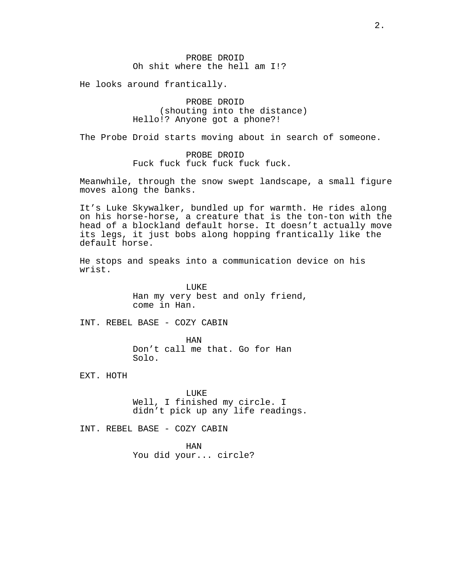He looks around frantically.

PROBE DROID (shouting into the distance) Hello!? Anyone got a phone?!

The Probe Droid starts moving about in search of someone.

PROBE DROID Fuck fuck fuck fuck fuck fuck.

Meanwhile, through the snow swept landscape, a small figure moves along the banks.

It's Luke Skywalker, bundled up for warmth. He rides along on his horse-horse, a creature that is the ton-ton with the head of a blockland default horse. It doesn't actually move its legs, it just bobs along hopping frantically like the default horse.

He stops and speaks into a communication device on his wrist.

> LUKE Han my very best and only friend, come in Han.

INT. REBEL BASE - COZY CABIN

HAN Don't call me that. Go for Han Solo.

EXT. HOTH

LUKE Well, I finished my circle. I didn't pick up any life readings.

INT. REBEL BASE - COZY CABIN

HAN

You did your... circle?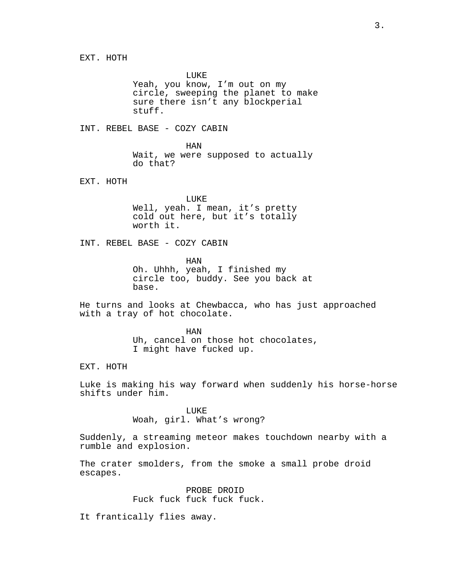EXT. HOTH

LUKE Yeah, you know, I'm out on my circle, sweeping the planet to make sure there isn't any blockperial stuff.

INT. REBEL BASE - COZY CABIN

HAN Wait, we were supposed to actually do that?

EXT. HOTH

LUKE Well, yeah. I mean, it's pretty cold out here, but it's totally worth it.

INT. REBEL BASE - COZY CABIN

HAN Oh. Uhhh, yeah, I finished my circle too, buddy. See you back at base.

He turns and looks at Chewbacca, who has just approached with a tray of hot chocolate.

> HAN Uh, cancel on those hot chocolates, I might have fucked up.

EXT. HOTH

Luke is making his way forward when suddenly his horse-horse shifts under him.

> LUKE Woah, girl. What's wrong?

Suddenly, a streaming meteor makes touchdown nearby with a rumble and explosion.

The crater smolders, from the smoke a small probe droid escapes.

> PROBE DROID Fuck fuck fuck fuck fuck.

It frantically flies away.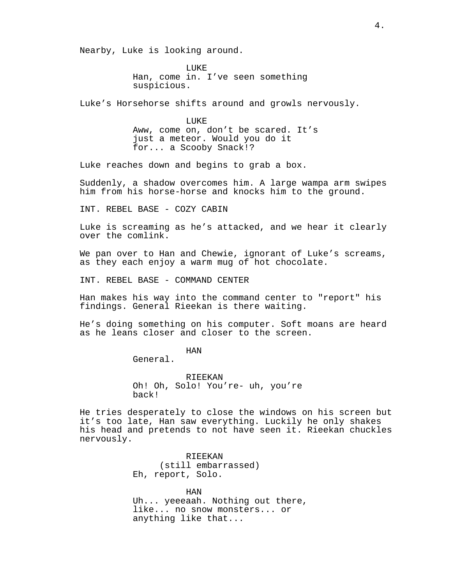Nearby, Luke is looking around.

LUKE Han, come in. I've seen something suspicious.

Luke's Horsehorse shifts around and growls nervously.

LUKE Aww, come on, don't be scared. It's just a meteor. Would you do it for... a Scooby Snack!?

Luke reaches down and begins to grab a box.

Suddenly, a shadow overcomes him. A large wampa arm swipes him from his horse-horse and knocks him to the ground.

INT. REBEL BASE - COZY CABIN

Luke is screaming as he's attacked, and we hear it clearly over the comlink.

We pan over to Han and Chewie, ignorant of Luke's screams, as they each enjoy a warm mug of hot chocolate.

INT. REBEL BASE - COMMAND CENTER

Han makes his way into the command center to "report" his findings. General Rieekan is there waiting.

He's doing something on his computer. Soft moans are heard as he leans closer and closer to the screen.

HAN

General.

RIEEKAN Oh! Oh, Solo! You're- uh, you're back!

He tries desperately to close the windows on his screen but it's too late, Han saw everything. Luckily he only shakes his head and pretends to not have seen it. Rieekan chuckles nervously.

> RIEEKAN (still embarrassed) Eh, report, Solo.

HAN Uh... yeeeaah. Nothing out there, like... no snow monsters... or anything like that...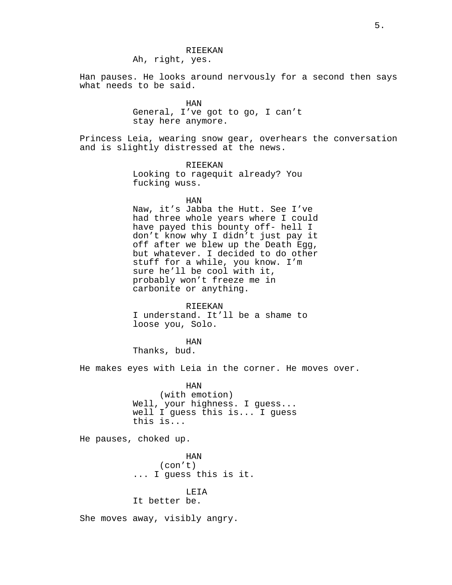### RIEEKAN

Ah, right, yes.

Han pauses. He looks around nervously for a second then says what needs to be said.

> HAN General, I've got to go, I can't stay here anymore.

Princess Leia, wearing snow gear, overhears the conversation and is slightly distressed at the news.

> RIEEKAN Looking to ragequit already? You fucking wuss.

> > HAN

Naw, it's Jabba the Hutt. See I've had three whole years where I could have payed this bounty off- hell I don't know why I didn't just pay it off after we blew up the Death Egg, but whatever. I decided to do other stuff for a while, you know. I'm sure he'll be cool with it, probably won't freeze me in carbonite or anything.

RIEEKAN I understand. It'll be a shame to loose you, Solo.

HAN Thanks, bud.

He makes eyes with Leia in the corner. He moves over.

HAN (with emotion) Well, your highness. I guess... well I guess this is... I guess this is...

He pauses, choked up.

HAN (con't) ... I guess this is it.

# LEIA

It better be.

She moves away, visibly angry.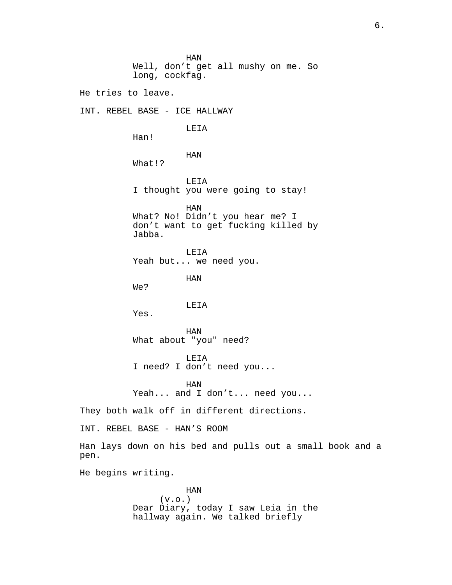HAN Well, don't get all mushy on me. So long, cockfag. He tries to leave. INT. REBEL BASE - ICE HALLWAY LEIA Han! HAN What!? LEIA I thought you were going to stay! HAN What? No! Didn't you hear me? I don't want to get fucking killed by Jabba. LEIA Yeah but... we need you. HAN We? LEIA Yes. HAN What about "you" need? LEIA I need? I don't need you... HAN Yeah... and I don't... need you... They both walk off in different directions. INT. REBEL BASE - HAN'S ROOM Han lays down on his bed and pulls out a small book and a pen. He begins writing. HAN

 $(v.o.)$ Dear Diary, today I saw Leia in the hallway again. We talked briefly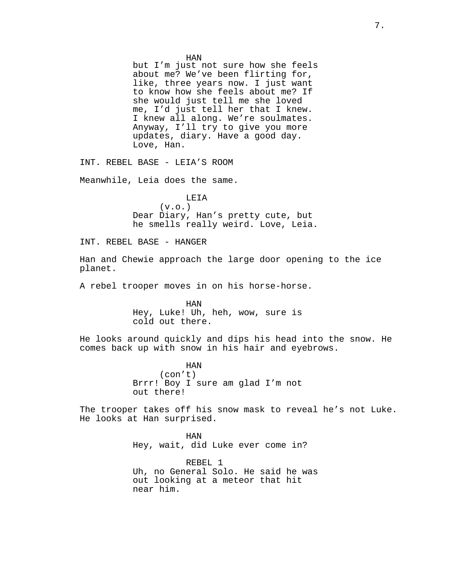HAN but I'm just not sure how she feels about me? We've been flirting for, like, three years now. I just want to know how she feels about me? If she would just tell me she loved me, I'd just tell her that I knew. I knew all along. We're soulmates. Anyway, I'll try to give you more updates, diary. Have a good day. Love, Han.

INT. REBEL BASE - LEIA'S ROOM

Meanwhile, Leia does the same.

LEIA  $(v.o.)$ Dear Diary, Han's pretty cute, but he smells really weird. Love, Leia.

INT. REBEL BASE - HANGER

Han and Chewie approach the large door opening to the ice planet.

A rebel trooper moves in on his horse-horse.

HAN Hey, Luke! Uh, heh, wow, sure is cold out there.

He looks around quickly and dips his head into the snow. He comes back up with snow in his hair and eyebrows.

> HAN (con't) Brrr! Boy I sure am glad I'm not out there!

The trooper takes off his snow mask to reveal he's not Luke. He looks at Han surprised.

> HAN Hey, wait, did Luke ever come in?

REBEL 1 Uh, no General Solo. He said he was out looking at a meteor that hit near him.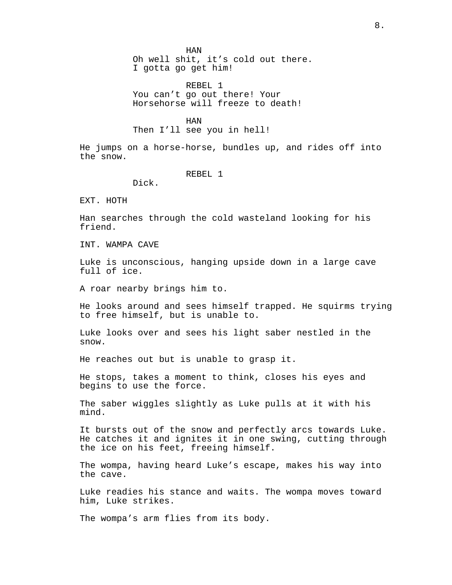HAN

Oh well shit, it's cold out there. I gotta go get him!

REBEL 1 You can't go out there! Your Horsehorse will freeze to death!

HAN

Then I'll see you in hell!

He jumps on a horse-horse, bundles up, and rides off into the snow.

REBEL 1

Dick.

EXT. HOTH

Han searches through the cold wasteland looking for his friend.

INT. WAMPA CAVE

Luke is unconscious, hanging upside down in a large cave full of ice.

A roar nearby brings him to.

He looks around and sees himself trapped. He squirms trying to free himself, but is unable to.

Luke looks over and sees his light saber nestled in the snow.

He reaches out but is unable to grasp it.

He stops, takes a moment to think, closes his eyes and begins to use the force.

The saber wiggles slightly as Luke pulls at it with his mind.

It bursts out of the snow and perfectly arcs towards Luke. He catches it and ignites it in one swing, cutting through the ice on his feet, freeing himself.

The wompa, having heard Luke's escape, makes his way into the cave.

Luke readies his stance and waits. The wompa moves toward him, Luke strikes.

The wompa's arm flies from its body.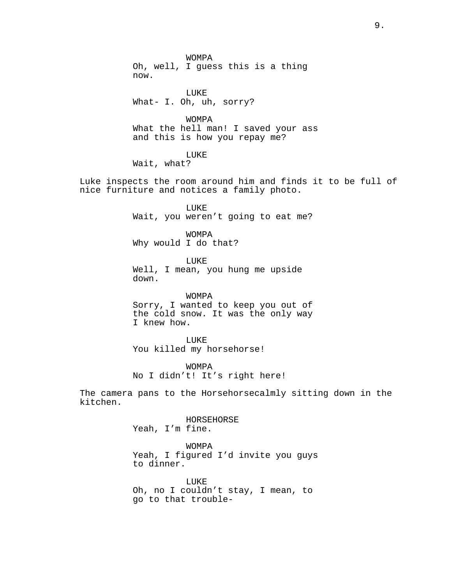WOMPA Oh, well, I guess this is a thing now.

LUKE What- I. Oh, uh, sorry?

WOMPA What the hell man! I saved your ass and this is how you repay me?

LUKE

Wait, what?

Luke inspects the room around him and finds it to be full of nice furniture and notices a family photo.

> LUKE Wait, you weren't going to eat me?

WOMPA Why would I do that?

LUKE Well, I mean, you hung me upside down.

WOMPA Sorry, I wanted to keep you out of the cold snow. It was the only way I knew how.

LUKE You killed my horsehorse!

WOMPA No I didn't! It's right here!

The camera pans to the Horsehorsecalmly sitting down in the kitchen.

> HORSEHORSE Yeah, I'm fine.

WOMPA Yeah, I figured I'd invite you guys to dinner.

LUKE Oh, no I couldn't stay, I mean, to go to that trouble-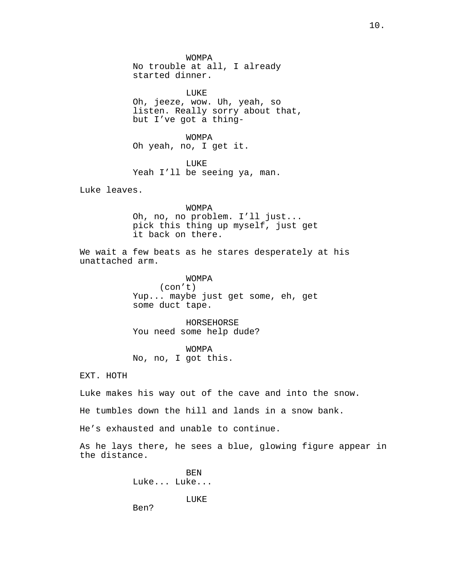WOMPA No trouble at all, I already started dinner.

LUKE Oh, jeeze, wow. Uh, yeah, so listen. Really sorry about that, but I've got a thing-

WOMPA Oh yeah, no, I get it.

LUKE Yeah I'll be seeing ya, man.

Luke leaves.

WOMPA Oh, no, no problem. I'll just... pick this thing up myself, just get it back on there.

We wait a few beats as he stares desperately at his unattached arm.

> WOMPA (con't) Yup... maybe just get some, eh, get some duct tape.

HORSEHORSE You need some help dude?

WOMPA No, no, I got this.

EXT. HOTH

Luke makes his way out of the cave and into the snow.

He tumbles down the hill and lands in a snow bank.

He's exhausted and unable to continue.

As he lays there, he sees a blue, glowing figure appear in the distance.

> BEN Luke... Luke...

> > LUKE

Ben?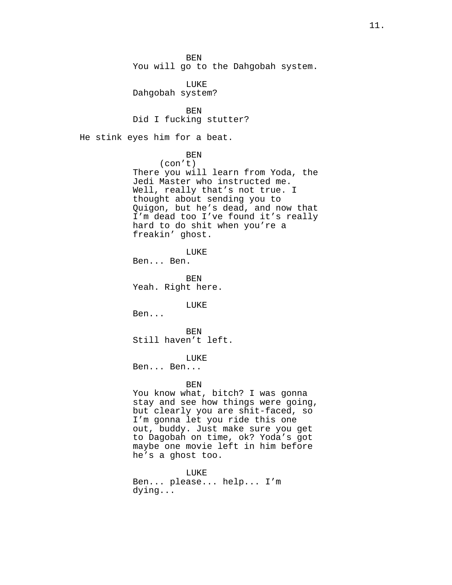BEN You will go to the Dahgobah system.

LUKE Dahgobah system?

BEN Did I fucking stutter?

He stink eyes him for a beat.

BEN

(con't)

There you will learn from Yoda, the Jedi Master who instructed me. Well, really that's not true. I thought about sending you to Quigon, but he's dead, and now that I'm dead too I've found it's really hard to do shit when you're a freakin' ghost.

LUKE Ben... Ben.

BEN Yeah. Right here.

LUKE

Ben...

BEN Still haven't left.

LUKE

Ben... Ben...

BEN

You know what, bitch? I was gonna stay and see how things were going, but clearly you are shit-faced, so I'm gonna let you ride this one out, buddy. Just make sure you get to Dagobah on time, ok? Yoda's got maybe one movie left in him before he's a ghost too.

LUKE Ben... please... help... I'm dying...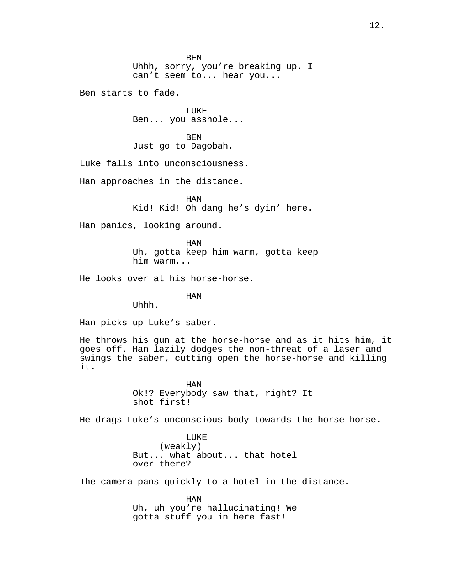Ben starts to fade.

LUKE Ben... you asshole...

BEN Just go to Dagobah.

Luke falls into unconsciousness.

Han approaches in the distance.

HAN Kid! Kid! Oh dang he's dyin' here.

Han panics, looking around.

HAN Uh, gotta keep him warm, gotta keep him warm...

He looks over at his horse-horse.

HAN

Uhhh.

Han picks up Luke's saber.

He throws his gun at the horse-horse and as it hits him, it goes off. Han lazily dodges the non-threat of a laser and swings the saber, cutting open the horse-horse and killing it.

> HAN Ok!? Everybody saw that, right? It shot first!

He drags Luke's unconscious body towards the horse-horse.

LUKE (weakly) But... what about... that hotel over there?

The camera pans quickly to a hotel in the distance.

HAN Uh, uh you're hallucinating! We gotta stuff you in here fast!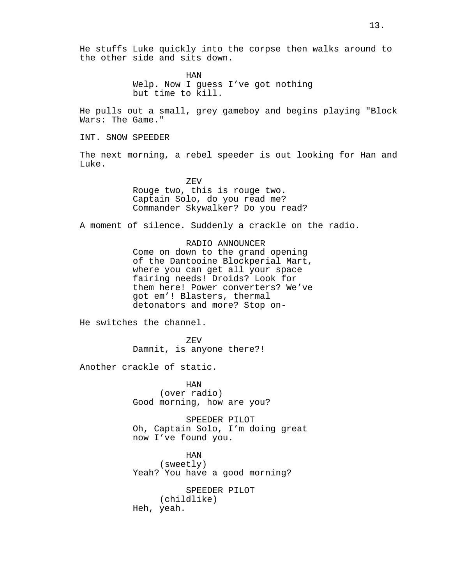HAN Welp. Now I guess I've got nothing but time to kill.

He pulls out a small, grey gameboy and begins playing "Block Wars: The Game."

INT. SNOW SPEEDER

The next morning, a rebel speeder is out looking for Han and Luke.

> ZEV Rouge two, this is rouge two. Captain Solo, do you read me? Commander Skywalker? Do you read?

A moment of silence. Suddenly a crackle on the radio.

RADIO ANNOUNCER Come on down to the grand opening of the Dantooine Blockperial Mart, where you can get all your space fairing needs! Droids? Look for them here! Power converters? We've got em'! Blasters, thermal detonators and more? Stop on-

He switches the channel.

ZEV Damnit, is anyone there?!

Another crackle of static.

HAN (over radio) Good morning, how are you?

SPEEDER PILOT Oh, Captain Solo, I'm doing great now I've found you.

HAN (sweetly) Yeah? You have a good morning?

SPEEDER PILOT (childlike) Heh, yeah.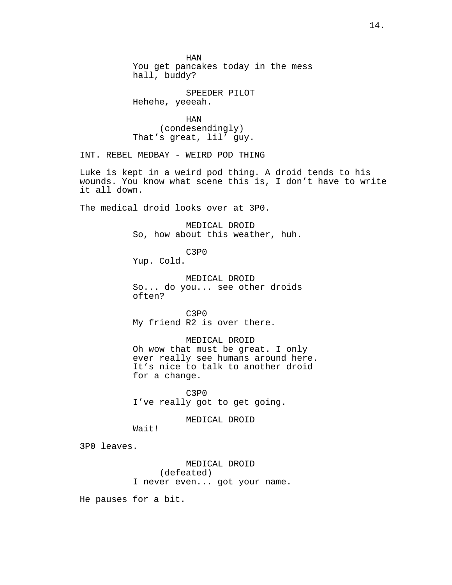HAN You get pancakes today in the mess hall, buddy?

SPEEDER PILOT Hehehe, yeeeah.

HAN (condesendingly) That's great, lil' guy.

INT. REBEL MEDBAY - WEIRD POD THING

Luke is kept in a weird pod thing. A droid tends to his wounds. You know what scene this is, I don't have to write it all down.

The medical droid looks over at 3P0.

MEDICAL DROID So, how about this weather, huh.

C3P0

Yup. Cold.

MEDICAL DROID So... do you... see other droids often?

C3P0 My friend R2 is over there.

MEDICAL DROID Oh wow that must be great. I only ever really see humans around here. It's nice to talk to another droid for a change.

C3P0 I've really got to get going.

MEDICAL DROID

Wait!

3P0 leaves.

MEDICAL DROID (defeated) I never even... got your name.

He pauses for a bit.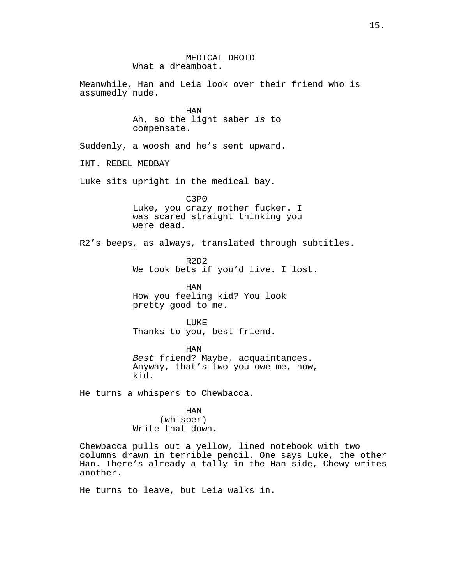MEDICAL DROID What a dreamboat. Meanwhile, Han and Leia look over their friend who is assumedly nude. HAN Ah, so the light saber *is* to compensate. Suddenly, a woosh and he's sent upward. INT. REBEL MEDBAY Luke sits upright in the medical bay. C3P0 Luke, you crazy mother fucker. I was scared straight thinking you were dead. R2's beeps, as always, translated through subtitles. R2D2 We took bets if you'd live. I lost. HAN How you feeling kid? You look pretty good to me. **LUKE** Thanks to you, best friend. HAN *Best* friend? Maybe, acquaintances. Anyway, that's two you owe me, now, kid. He turns a whispers to Chewbacca. HAN (whisper) Write that down. Chewbacca pulls out a yellow, lined notebook with two columns drawn in terrible pencil. One says Luke, the other Han. There's already a tally in the Han side, Chewy writes another. He turns to leave, but Leia walks in.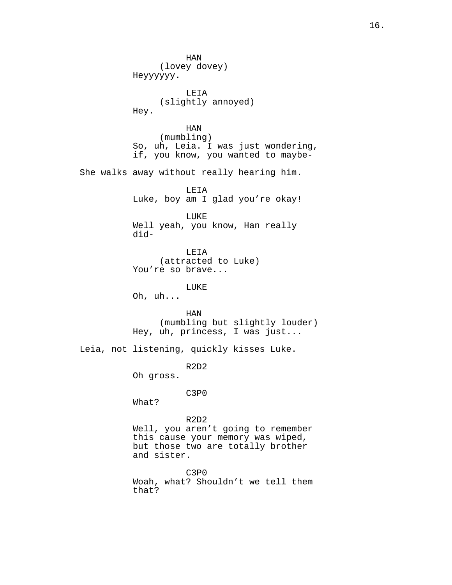HAN (lovey dovey) Heyyyyyy. LEIA (slightly annoyed) Hey. HAN (mumbling) So, uh, Leia. I was just wondering, if, you know, you wanted to maybe-She walks away without really hearing him. LEIA Luke, boy am I glad you're okay! LUKE Well yeah, you know, Han really did-LEIA (attracted to Luke) You're so brave... LUKE Oh, uh... HAN (mumbling but slightly louder) Hey, uh, princess, I was just... Leia, not listening, quickly kisses Luke. R2D2 Oh gross. C3P0 What? R2D2 Well, you aren't going to remember this cause your memory was wiped, but those two are totally brother and sister. C3P0 Woah, what? Shouldn't we tell them that?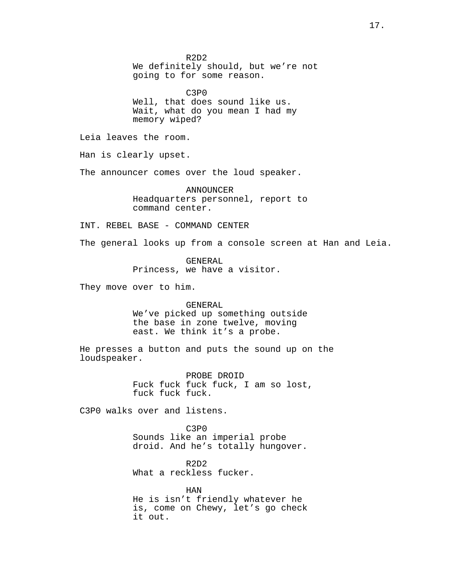R2D2 We definitely should, but we're not going to for some reason.

C3P0 Well, that does sound like us. Wait, what do you mean I had my memory wiped?

Leia leaves the room.

Han is clearly upset.

The announcer comes over the loud speaker.

ANNOUNCER Headquarters personnel, report to command center.

INT. REBEL BASE - COMMAND CENTER

The general looks up from a console screen at Han and Leia.

GENERAL Princess, we have a visitor.

They move over to him.

### GENERAL

We've picked up something outside the base in zone twelve, moving east. We think it's a probe.

He presses a button and puts the sound up on the loudspeaker.

> PROBE DROID Fuck fuck fuck fuck, I am so lost, fuck fuck fuck.

C3P0 walks over and listens.

C3P0 Sounds like an imperial probe droid. And he's totally hungover.

R2D2 What a reckless fucker.

HAN He is isn't friendly whatever he is, come on Chewy, let's go check it out.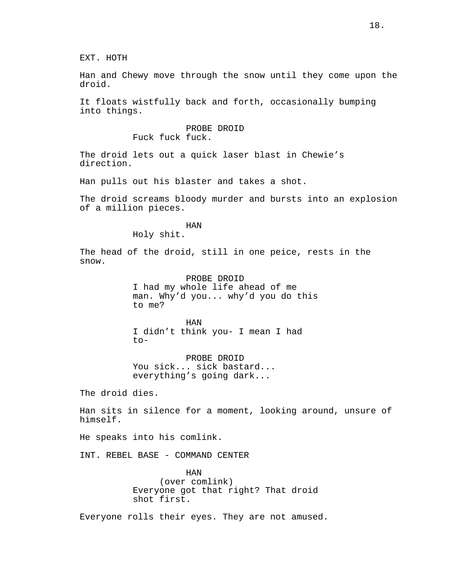EXT. HOTH

Han and Chewy move through the snow until they come upon the droid.

It floats wistfully back and forth, occasionally bumping into things.

> PROBE DROID Fuck fuck fuck.

The droid lets out a quick laser blast in Chewie's direction.

Han pulls out his blaster and takes a shot.

The droid screams bloody murder and bursts into an explosion of a million pieces.

HAN

Holy shit.

The head of the droid, still in one peice, rests in the snow.

> PROBE DROID I had my whole life ahead of me man. Why'd you... why'd you do this to me?

HAN I didn't think you- I mean I had to-

PROBE DROID You sick... sick bastard... everything's going dark...

The droid dies.

Han sits in silence for a moment, looking around, unsure of himself.

He speaks into his comlink.

INT. REBEL BASE - COMMAND CENTER

HAN (over comlink) Everyone got that right? That droid shot first.

Everyone rolls their eyes. They are not amused.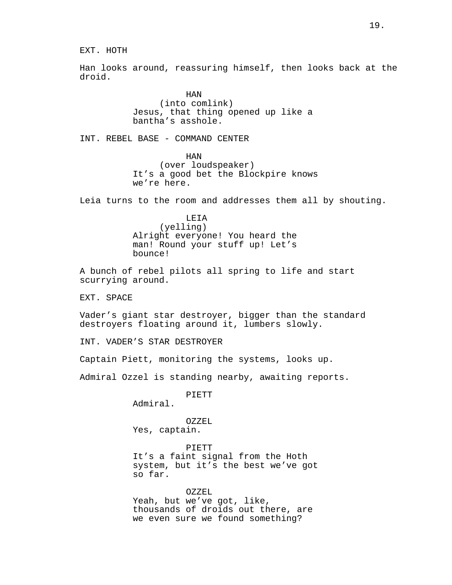EXT. HOTH

Han looks around, reassuring himself, then looks back at the droid.

> HAN (into comlink) Jesus, that thing opened up like a bantha's asshole.

INT. REBEL BASE - COMMAND CENTER

HAN (over loudspeaker) It's a good bet the Blockpire knows we're here.

Leia turns to the room and addresses them all by shouting.

LEIA (yelling) Alright everyone! You heard the man! Round your stuff up! Let's bounce!

A bunch of rebel pilots all spring to life and start scurrying around.

EXT. SPACE

Vader's giant star destroyer, bigger than the standard destroyers floating around it, lumbers slowly.

INT. VADER'S STAR DESTROYER

Captain Piett, monitoring the systems, looks up.

Admiral Ozzel is standing nearby, awaiting reports.

PIETT

Admiral.

OZZEL Yes, captain.

PIETT It's a faint signal from the Hoth system, but it's the best we've got so far.

OZZEL Yeah, but we've got, like, thousands of droids out there, are we even sure we found something?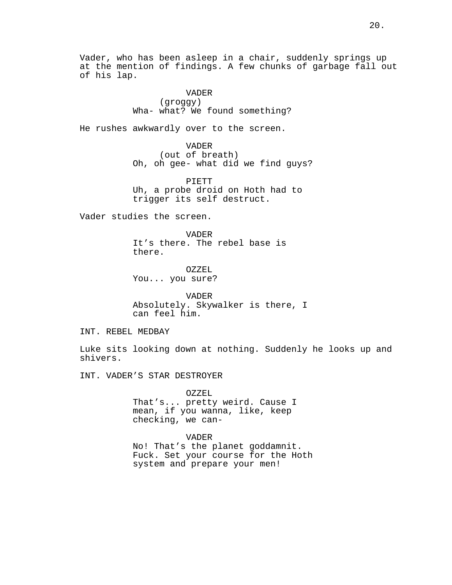Vader, who has been asleep in a chair, suddenly springs up at the mention of findings. A few chunks of garbage fall out of his lap.

> VADER (groggy) Wha- what? We found something?

He rushes awkwardly over to the screen.

VADER (out of breath) Oh, oh gee- what did we find guys?

PIETT Uh, a probe droid on Hoth had to trigger its self destruct.

Vader studies the screen.

VADER It's there. The rebel base is there.

OZZEL You... you sure?

VADER Absolutely. Skywalker is there, I can feel him.

INT. REBEL MEDBAY

Luke sits looking down at nothing. Suddenly he looks up and shivers.

INT. VADER'S STAR DESTROYER

OZZEL That's... pretty weird. Cause I mean, if you wanna, like, keep checking, we can-

VADER No! That's the planet goddamnit. Fuck. Set your course for the Hoth system and prepare your men!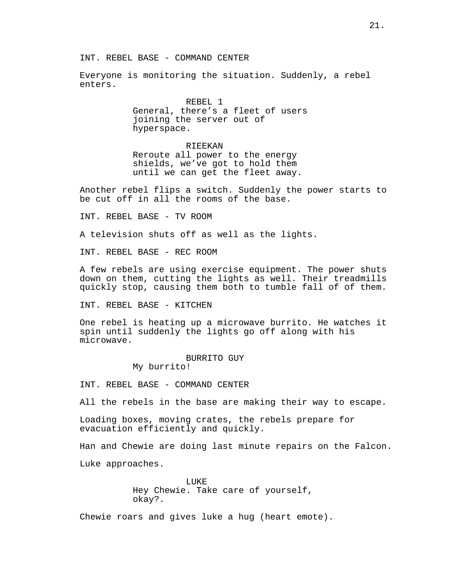Everyone is monitoring the situation. Suddenly, a rebel enters.

> REBEL 1 General, there's a fleet of users joining the server out of hyperspace.

RIEEKAN Reroute all power to the energy shields, we've got to hold them until we can get the fleet away.

Another rebel flips a switch. Suddenly the power starts to be cut off in all the rooms of the base.

INT. REBEL BASE - TV ROOM

A television shuts off as well as the lights.

INT. REBEL BASE - REC ROOM

A few rebels are using exercise equipment. The power shuts down on them, cutting the lights as well. Their treadmills quickly stop, causing them both to tumble fall of of them.

INT. REBEL BASE - KITCHEN

One rebel is heating up a microwave burrito. He watches it spin until suddenly the lights go off along with his microwave.

# BURRITO GUY

My burrito!

INT. REBEL BASE - COMMAND CENTER

All the rebels in the base are making their way to escape.

Loading boxes, moving crates, the rebels prepare for evacuation efficiently and quickly.

Han and Chewie are doing last minute repairs on the Falcon.

Luke approaches.

LUKE<sup></sup> Hey Chewie. Take care of yourself, okay?.

Chewie roars and gives luke a hug (heart emote).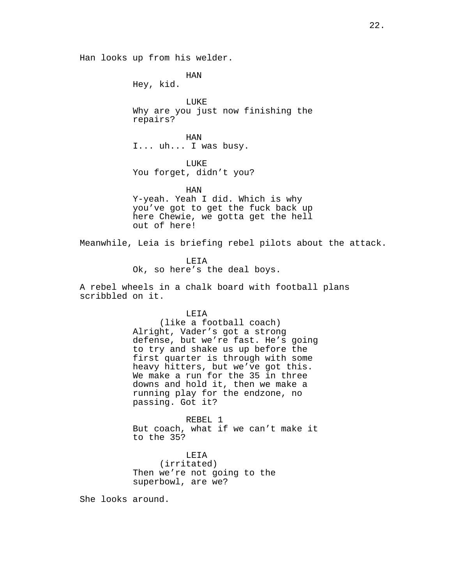Han looks up from his welder.

HAN Hey, kid.

LUKE Why are you just now finishing the repairs?

HAN I... uh... I was busy.

LUKE You forget, didn't you?

HAN Y-yeah. Yeah I did. Which is why you've got to get the fuck back up here Chewie, we gotta get the hell out of here!

Meanwhile, Leia is briefing rebel pilots about the attack.

LEIA Ok, so here's the deal boys.

A rebel wheels in a chalk board with football plans scribbled on it.

LEIA

(like a football coach) Alright, Vader's got a strong defense, but we're fast. He's going to try and shake us up before the first quarter is through with some heavy hitters, but we've got this. We make a run for the 35 in three downs and hold it, then we make a running play for the endzone, no passing. Got it?

REBEL 1 But coach, what if we can't make it to the 35?

LEIA (irritated) Then we're not going to the superbowl, are we?

She looks around.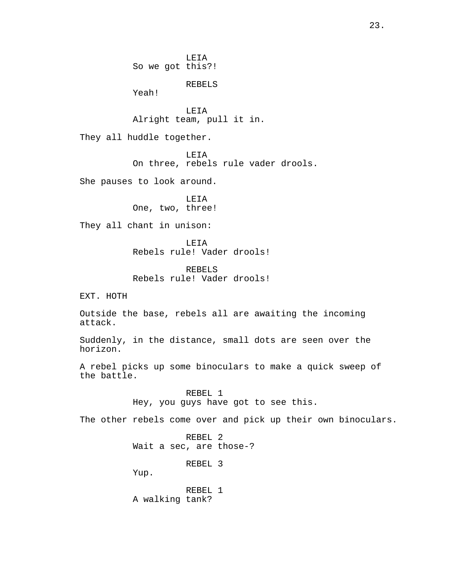LEIA So we got this?! REBELS Yeah! LEIA Alright team, pull it in. They all huddle together. LEIA On three, rebels rule vader drools. She pauses to look around. LEIA One, two, three! They all chant in unison: LEIA Rebels rule! Vader drools! REBELS Rebels rule! Vader drools! EXT. HOTH Outside the base, rebels all are awaiting the incoming attack. Suddenly, in the distance, small dots are seen over the horizon. A rebel picks up some binoculars to make a quick sweep of the battle. REBEL 1 Hey, you guys have got to see this. The other rebels come over and pick up their own binoculars. REBEL 2 Wait a sec, are those-? REBEL 3 Yup. REBEL 1 A walking tank?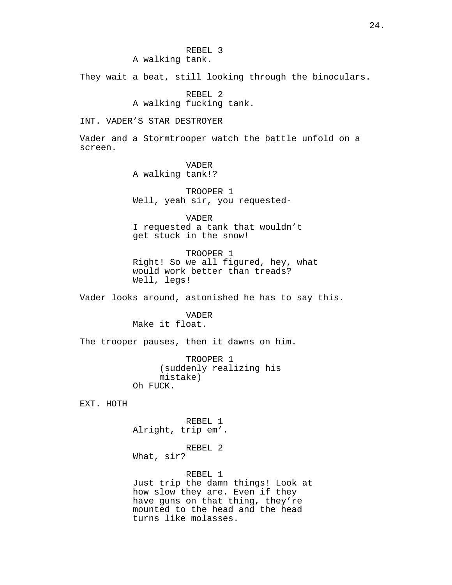They wait a beat, still looking through the binoculars.

REBEL 2 A walking fucking tank.

INT. VADER'S STAR DESTROYER

Vader and a Stormtrooper watch the battle unfold on a screen.

### VADER

A walking tank!?

TROOPER 1 Well, yeah sir, you requested-

VADER

I requested a tank that wouldn't get stuck in the snow!

TROOPER 1 Right! So we all figured, hey, what would work better than treads? Well, legs!

Vader looks around, astonished he has to say this.

VADER Make it float.

The trooper pauses, then it dawns on him.

TROOPER 1 (suddenly realizing his mistake) Oh FUCK.

EXT. HOTH

REBEL 1 Alright, trip em'.

REBEL 2 What, sir?

REBEL 1

Just trip the damn things! Look at how slow they are. Even if they have guns on that thing, they're mounted to the head and the head turns like molasses.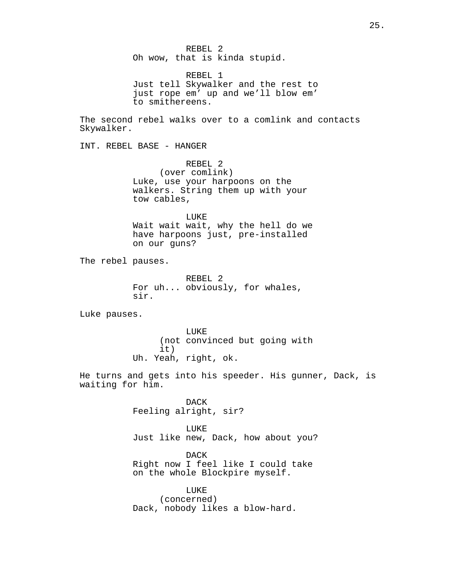REBEL 2 Oh wow, that is kinda stupid.

REBEL 1 Just tell Skywalker and the rest to just rope em' up and we'll blow em' to smithereens.

The second rebel walks over to a comlink and contacts Skywalker.

INT. REBEL BASE - HANGER

REBEL 2 (over comlink) Luke, use your harpoons on the walkers. String them up with your tow cables,

LUKE Wait wait wait, why the hell do we have harpoons just, pre-installed on our guns?

The rebel pauses.

REBEL 2 For uh... obviously, for whales, sir.

Luke pauses.

LUKE (not convinced but going with it) Uh. Yeah, right, ok.

He turns and gets into his speeder. His gunner, Dack, is waiting for him.

> DACK Feeling alright, sir?

LUKE Just like new, Dack, how about you?

DACK Right now I feel like I could take on the whole Blockpire myself.

LUKE (concerned) Dack, nobody likes a blow-hard.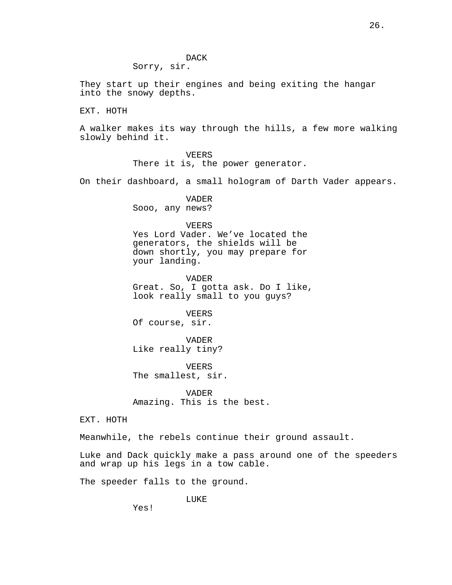DACK Sorry, sir.

They start up their engines and being exiting the hangar into the snowy depths.

EXT. HOTH

A walker makes its way through the hills, a few more walking slowly behind it.

> VEERS There it is, the power generator.

On their dashboard, a small hologram of Darth Vader appears.

VADER Sooo, any news?

### VEERS

Yes Lord Vader. We've located the generators, the shields will be down shortly, you may prepare for your landing.

VADER Great. So, I gotta ask. Do I like, look really small to you guys?

VEERS Of course, sir.

VADER Like really tiny?

VEERS The smallest, sir.

VADER Amazing. This is the best.

EXT. HOTH

Meanwhile, the rebels continue their ground assault.

Luke and Dack quickly make a pass around one of the speeders and wrap up his legs in a tow cable.

The speeder falls to the ground.

LUKE

Yes!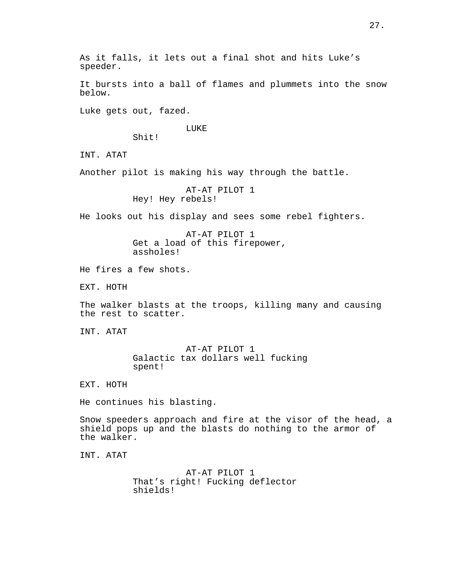It bursts into a ball of flames and plummets into the snow below.

Luke gets out, fazed.

### LUKE

Shit!

INT. ATAT

Another pilot is making his way through the battle.

AT-AT PILOT 1 Hey! Hey rebels!

He looks out his display and sees some rebel fighters.

AT-AT PILOT 1 Get a load of this firepower, assholes!

He fires a few shots.

EXT. HOTH

The walker blasts at the troops, killing many and causing the rest to scatter.

INT. ATAT

AT-AT PILOT 1 Galactic tax dollars well fucking spent!

EXT. HOTH

He continues his blasting.

Snow speeders approach and fire at the visor of the head, a shield pops up and the blasts do nothing to the armor of the walker.

INT. ATAT

AT-AT PILOT 1 That's right! Fucking deflector shields!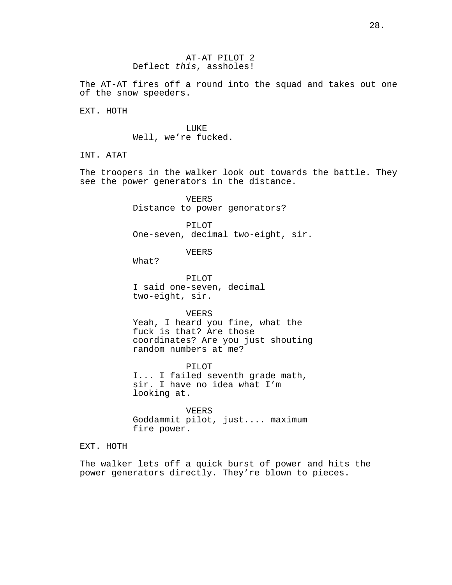The AT-AT fires off a round into the squad and takes out one of the snow speeders.

EXT. HOTH

LUKE Well, we're fucked.

INT. ATAT

The troopers in the walker look out towards the battle. They see the power generators in the distance.

> VEERS Distance to power genorators?

PILOT One-seven, decimal two-eight, sir.

VEERS

What?

PILOT I said one-seven, decimal two-eight, sir.

VEERS Yeah, I heard you fine, what the fuck is that? Are those coordinates? Are you just shouting random numbers at me?

PILOT I... I failed seventh grade math, sir. I have no idea what I'm looking at.

VEERS Goddammit pilot, just.... maximum fire power.

EXT. HOTH

The walker lets off a quick burst of power and hits the power generators directly. They're blown to pieces.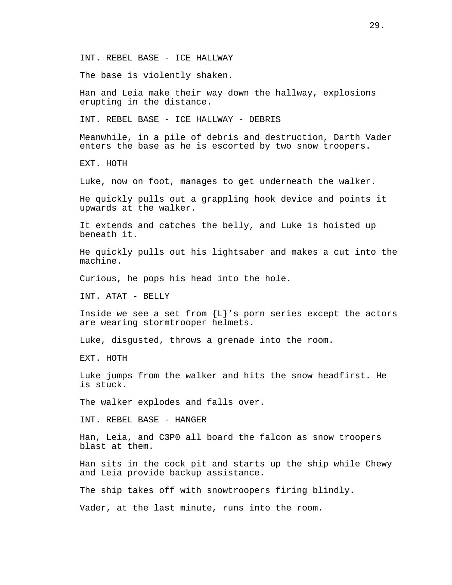INT. REBEL BASE - ICE HALLWAY

The base is violently shaken.

Han and Leia make their way down the hallway, explosions erupting in the distance.

INT. REBEL BASE - ICE HALLWAY - DEBRIS

Meanwhile, in a pile of debris and destruction, Darth Vader enters the base as he is escorted by two snow troopers.

EXT. HOTH

Luke, now on foot, manages to get underneath the walker.

He quickly pulls out a grappling hook device and points it upwards at the walker.

It extends and catches the belly, and Luke is hoisted up beneath it.

He quickly pulls out his lightsaber and makes a cut into the machine.

Curious, he pops his head into the hole.

INT. ATAT - BELLY

Inside we see a set from  ${L}$ 's porn series except the actors are wearing stormtrooper helmets.

Luke, disgusted, throws a grenade into the room.

EXT. HOTH

Luke jumps from the walker and hits the snow headfirst. He is stuck.

The walker explodes and falls over.

INT. REBEL BASE - HANGER

Han, Leia, and C3P0 all board the falcon as snow troopers blast at them.

Han sits in the cock pit and starts up the ship while Chewy and Leia provide backup assistance.

The ship takes off with snowtroopers firing blindly.

Vader, at the last minute, runs into the room.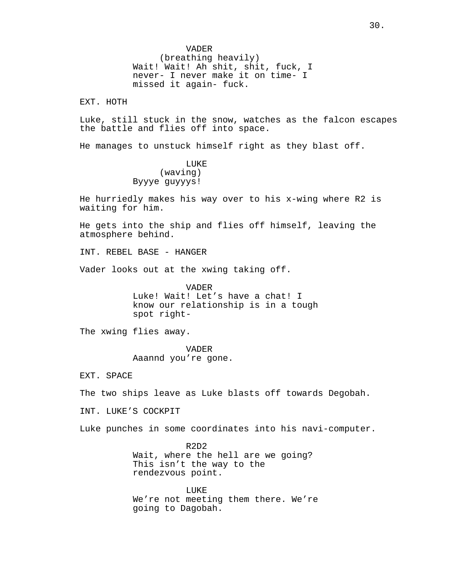VADER (breathing heavily) Wait! Wait! Ah shit, shit, fuck, I never- I never make it on time- I missed it again- fuck.

EXT. HOTH

Luke, still stuck in the snow, watches as the falcon escapes the battle and flies off into space.

He manages to unstuck himself right as they blast off.

LUKE (waving) Byyye guyyys!

He hurriedly makes his way over to his x-wing where R2 is waiting for him.

He gets into the ship and flies off himself, leaving the atmosphere behind.

INT. REBEL BASE - HANGER

Vader looks out at the xwing taking off.

VADER Luke! Wait! Let's have a chat! I know our relationship is in a tough spot right-

The xwing flies away.

VADER Aaannd you're gone.

EXT. SPACE

The two ships leave as Luke blasts off towards Degobah.

INT. LUKE'S COCKPIT

Luke punches in some coordinates into his navi-computer.

R2D2 Wait, where the hell are we going? This isn't the way to the rendezvous point.

LUKE We're not meeting them there. We're going to Dagobah.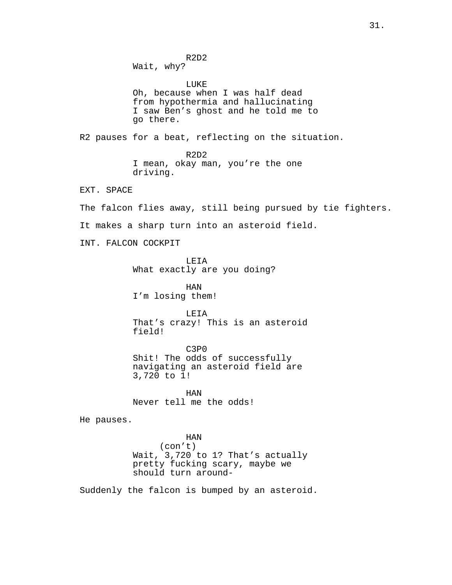R2D2 Wait, why? LUKE Oh, because when I was half dead from hypothermia and hallucinating I saw Ben's ghost and he told me to go there. R2 pauses for a beat, reflecting on the situation. R2D2 I mean, okay man, you're the one driving. EXT. SPACE The falcon flies away, still being pursued by tie fighters. It makes a sharp turn into an asteroid field. INT. FALCON COCKPIT LEIA What exactly are you doing? HAN I'm losing them! LEIA That's crazy! This is an asteroid field! C3P0 Shit! The odds of successfully navigating an asteroid field are 3,720 to 1!

> HAN Never tell me the odds!

He pauses.

HAN (con't) Wait, 3,720 to 1? That's actually pretty fucking scary, maybe we should turn around-

Suddenly the falcon is bumped by an asteroid.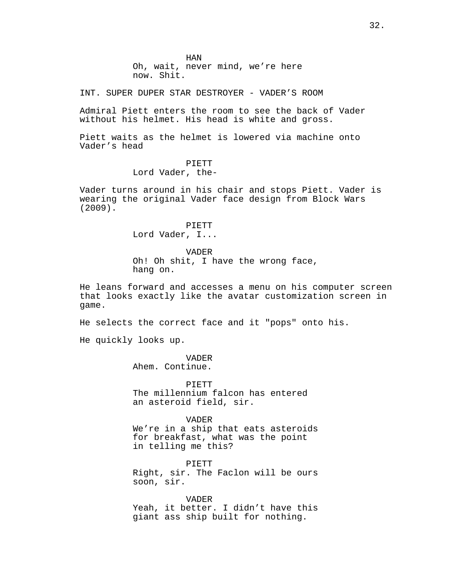HAN

Oh, wait, never mind, we're here now. Shit.

INT. SUPER DUPER STAR DESTROYER - VADER'S ROOM

Admiral Piett enters the room to see the back of Vader without his helmet. His head is white and gross.

Piett waits as the helmet is lowered via machine onto Vader's head

# PIETT

Lord Vader, the-

Vader turns around in his chair and stops Piett. Vader is wearing the original Vader face design from Block Wars (2009).

> PIETT Lord Vader, I...

> > VADER

Oh! Oh shit, I have the wrong face, hang on.

He leans forward and accesses a menu on his computer screen that looks exactly like the avatar customization screen in game.

He selects the correct face and it "pops" onto his.

He quickly looks up.

VADER Ahem. Continue.

**PIETT** The millennium falcon has entered an asteroid field, sir.

VADER We're in a ship that eats asteroids for breakfast, what was the point in telling me this?

PIETT Right, sir. The Faclon will be ours soon, sir.

VADER Yeah, it better. I didn't have this giant ass ship built for nothing.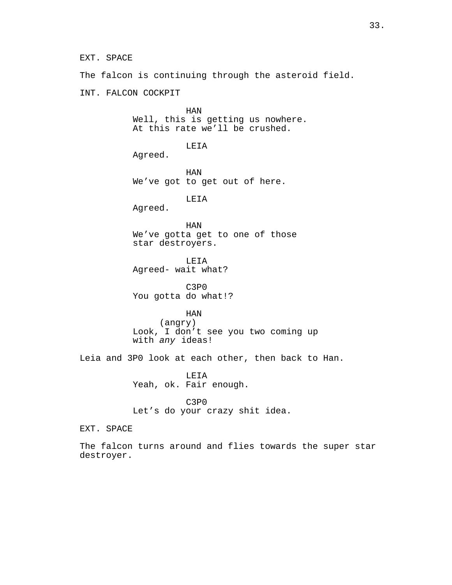EXT. SPACE

The falcon is continuing through the asteroid field.

INT. FALCON COCKPIT

HAN Well, this is getting us nowhere. At this rate we'll be crushed.

LEIA

Agreed.

HAN We've got to get out of here.

LEIA

Agreed.

HAN We've gotta get to one of those star destroyers.

LEIA Agreed- wait what?

C3P0 You gotta do what!?

HAN

(angry) Look, I don't see you two coming up with *any* ideas!

Leia and 3P0 look at each other, then back to Han.

LEIA Yeah, ok. Fair enough.

C3P0 Let's do your crazy shit idea.

EXT. SPACE

The falcon turns around and flies towards the super star destroyer.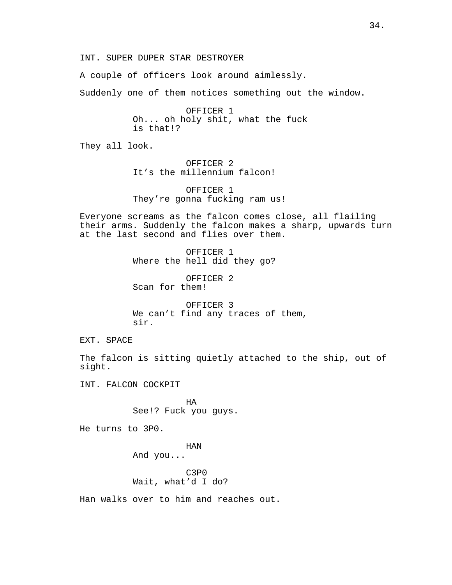INT. SUPER DUPER STAR DESTROYER

A couple of officers look around aimlessly.

Suddenly one of them notices something out the window.

OFFICER 1 Oh... oh holy shit, what the fuck is that!?

They all look.

OFFICER 2 It's the millennium falcon!

OFFICER 1 They're gonna fucking ram us!

Everyone screams as the falcon comes close, all flailing their arms. Suddenly the falcon makes a sharp, upwards turn at the last second and flies over them.

> OFFICER 1 Where the hell did they go?

OFFICER 2 Scan for them!

OFFICER 3 We can't find any traces of them, sir.

EXT. SPACE

The falcon is sitting quietly attached to the ship, out of sight.

INT. FALCON COCKPIT

HA See!? Fuck you guys.

He turns to 3P0.

HAN And you...

C3P0 Wait, what'd I do?

Han walks over to him and reaches out.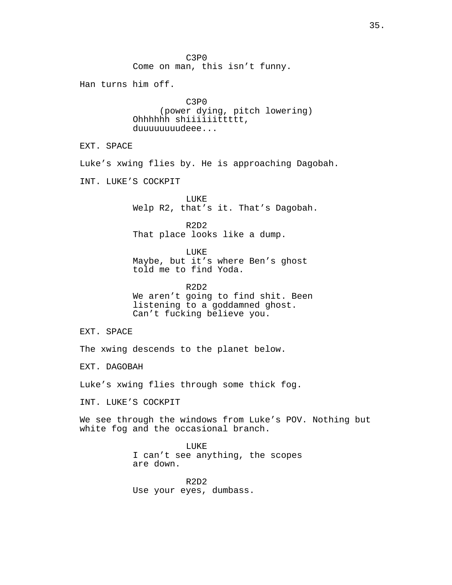C3P0 Come on man, this isn't funny. Han turns him off. C3P0 (power dying, pitch lowering) Ohhhhhh shiiiiiittttt, duuuuuuuudeee... EXT. SPACE Luke's xwing flies by. He is approaching Dagobah. INT. LUKE'S COCKPIT LUKE Welp R2, that's it. That's Dagobah. R2D2 That place looks like a dump. LUKE Maybe, but it's where Ben's ghost told me to find Yoda. R2D2 We aren't going to find shit. Been listening to a goddamned ghost. Can't fucking believe you. EXT. SPACE The xwing descends to the planet below. EXT. DAGOBAH Luke's xwing flies through some thick fog. INT. LUKE'S COCKPIT We see through the windows from Luke's POV. Nothing but white fog and the occasional branch. LUKE

I can't see anything, the scopes are down.

R2D2 Use your eyes, dumbass.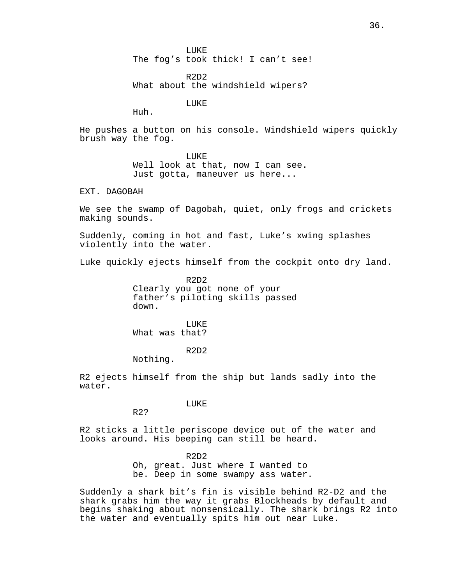LUKE The fog's took thick! I can't see!

R2D2 What about the windshield wipers?

LUKE

Huh.

He pushes a button on his console. Windshield wipers quickly brush way the fog.

LUKE<sup></sup>

Well look at that, now I can see. Just gotta, maneuver us here...

EXT. DAGOBAH

We see the swamp of Dagobah, quiet, only frogs and crickets making sounds.

Suddenly, coming in hot and fast, Luke's xwing splashes violently into the water.

Luke quickly ejects himself from the cockpit onto dry land.

R2D2 Clearly you got none of your father's piloting skills passed down.

**LUKE** What was that?

R2D2

Nothing.

R2?

R2 ejects himself from the ship but lands sadly into the water.

LUKE

R2 sticks a little periscope device out of the water and looks around. His beeping can still be heard.

> $R2D2$ Oh, great. Just where I wanted to be. Deep in some swampy ass water.

Suddenly a shark bit's fin is visible behind R2-D2 and the shark grabs him the way it grabs Blockheads by default and begins shaking about nonsensically. The shark brings R2 into the water and eventually spits him out near Luke.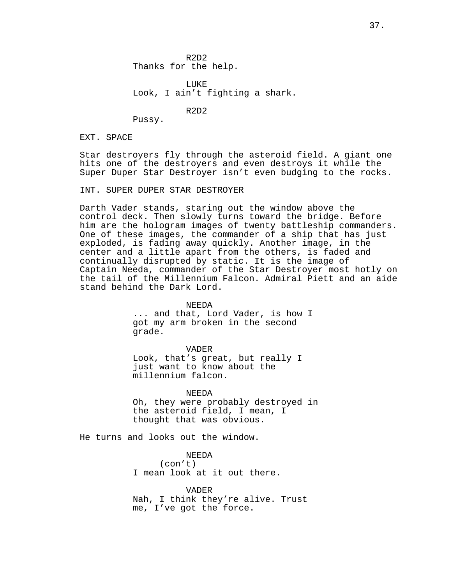**LUKE** Look, I ain't fighting a shark.

R2D2

Pussy.

EXT. SPACE

Star destroyers fly through the asteroid field. A giant one hits one of the destroyers and even destroys it while the Super Duper Star Destroyer isn't even budging to the rocks.

INT. SUPER DUPER STAR DESTROYER

Darth Vader stands, staring out the window above the control deck. Then slowly turns toward the bridge. Before him are the hologram images of twenty battleship commanders. One of these images, the commander of a ship that has just exploded, is fading away quickly. Another image, in the center and a little apart from the others, is faded and continually disrupted by static. It is the image of Captain Needa, commander of the Star Destroyer most hotly on the tail of the Millennium Falcon. Admiral Piett and an aide stand behind the Dark Lord.

> NEEDA ... and that, Lord Vader, is how I got my arm broken in the second grade.

VADER Look, that's great, but really I just want to know about the

millennium falcon. NEEDA

Oh, they were probably destroyed in the asteroid field, I mean, I thought that was obvious.

He turns and looks out the window.

NEEDA (con't) I mean look at it out there.

VADER Nah, I think they're alive. Trust me, I've got the force.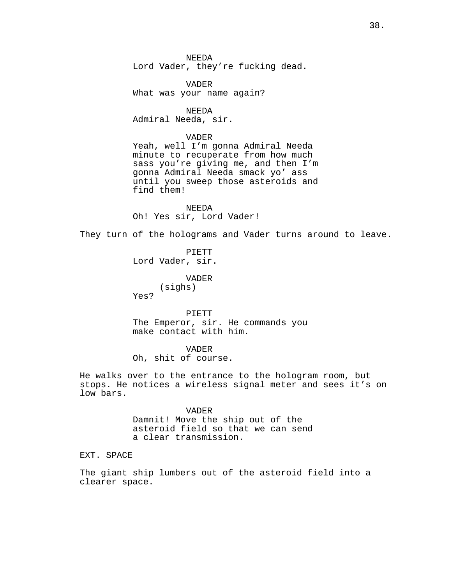NEEDA Lord Vader, they're fucking dead.

VADER What was your name again?

NEEDA Admiral Needa, sir.

### VADER

Yeah, well I'm gonna Admiral Needa minute to recuperate from how much sass you're giving me, and then I'm gonna Admiral Needa smack yo' ass until you sweep those asteroids and find them!

NEEDA Oh! Yes sir, Lord Vader!

They turn of the holograms and Vader turns around to leave.

PIETT Lord Vader, sir.

VADER

(sighs)

Yes?

PIETT The Emperor, sir. He commands you make contact with him.

### VADER

Oh, shit of course.

He walks over to the entrance to the hologram room, but stops. He notices a wireless signal meter and sees it's on low bars.

> VADER Damnit! Move the ship out of the

asteroid field so that we can send a clear transmission.

EXT. SPACE

The giant ship lumbers out of the asteroid field into a clearer space.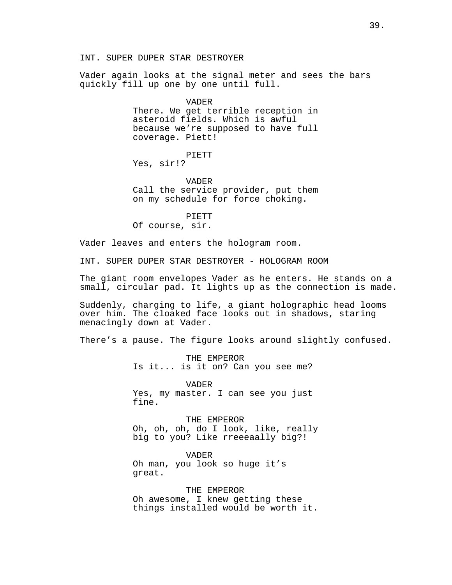INT. SUPER DUPER STAR DESTROYER

Vader again looks at the signal meter and sees the bars quickly fill up one by one until full.

> VADER There. We get terrible reception in asteroid fields. Which is awful because we're supposed to have full coverage. Piett!

PIETT Yes, sir!?

VADER

Call the service provider, put them on my schedule for force choking.

PIETT

Of course, sir.

Vader leaves and enters the hologram room.

INT. SUPER DUPER STAR DESTROYER - HOLOGRAM ROOM

The giant room envelopes Vader as he enters. He stands on a small, circular pad. It lights up as the connection is made.

Suddenly, charging to life, a giant holographic head looms over him. The cloaked face looks out in shadows, staring menacingly down at Vader.

There's a pause. The figure looks around slightly confused.

THE EMPEROR Is it... is it on? Can you see me?

VADER Yes, my master. I can see you just fine.

THE EMPEROR Oh, oh, oh, do I look, like, really big to you? Like rreeeaally big?!

VADER Oh man, you look so huge it's great.

THE EMPEROR Oh awesome, I knew getting these things installed would be worth it.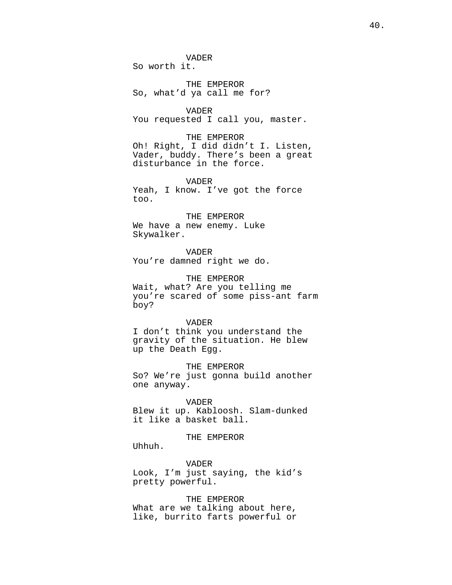VADER So worth it.

THE EMPEROR So, what'd ya call me for?

VADER You requested I call you, master.

THE EMPEROR Oh! Right, I did didn't I. Listen, Vader, buddy. There's been a great disturbance in the force.

VADER Yeah, I know. I've got the force too.

THE EMPEROR We have a new enemy. Luke Skywalker.

VADER You're damned right we do.

THE EMPEROR Wait, what? Are you telling me you're scared of some piss-ant farm boy?

VADER I don't think you understand the gravity of the situation. He blew up the Death Egg.

THE EMPEROR So? We're just gonna build another one anyway.

VADER

Blew it up. Kabloosh. Slam-dunked it like a basket ball.

THE EMPEROR

Uhhuh.

VADER Look, I'm just saying, the kid's pretty powerful.

THE EMPEROR What are we talking about here, like, burrito farts powerful or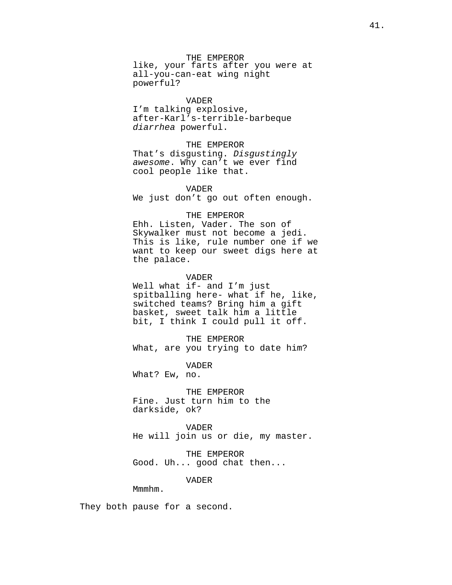THE EMPEROR like, your farts after you were at all-you-can-eat wing night powerful?

#### VADER

I'm talking explosive, after-Karl's-terrible-barbeque *diarrhea* powerful.

### THE EMPEROR

That's disgusting. *Disgustingly awesome*. Why can't we ever find cool people like that.

### VADER

We just don't go out often enough.

### THE EMPEROR

Ehh. Listen, Vader. The son of Skywalker must not become a jedi. This is like, rule number one if we want to keep our sweet digs here at the palace.

#### VADER

Well what if- and I'm just spitballing here- what if he, like, switched teams? Bring him a gift basket, sweet talk him a little bit, I think I could pull it off.

THE EMPEROR What, are you trying to date him?

VADER What? Ew, no.

THE EMPEROR Fine. Just turn him to the darkside, ok?

VADER He will join us or die, my master.

THE EMPEROR Good. Uh... good chat then...

VADER

Mmmhm.

They both pause for a second.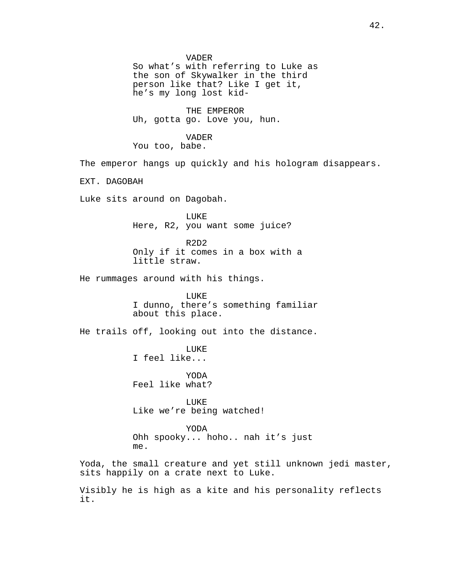VADER So what's with referring to Luke as the son of Skywalker in the third person like that? Like I get it, he's my long lost kid-

THE EMPEROR Uh, gotta go. Love you, hun.

### VADER

You too, babe.

The emperor hangs up quickly and his hologram disappears.

EXT. DAGOBAH

Luke sits around on Dagobah.

LUKE Here, R2, you want some juice?

R2D2 Only if it comes in a box with a little straw.

He rummages around with his things.

LUKE I dunno, there's something familiar about this place.

He trails off, looking out into the distance.

LUKE I feel like...

YODA Feel like what?

LUKE Like we're being watched!

YODA Ohh spooky... hoho.. nah it's just me.

Yoda, the small creature and yet still unknown jedi master, sits happily on a crate next to Luke.

Visibly he is high as a kite and his personality reflects it.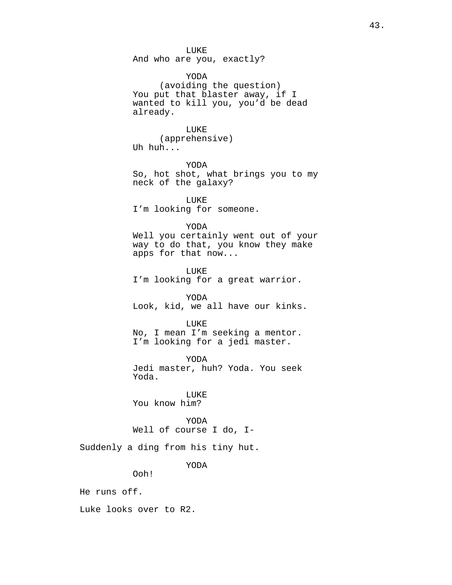And who are you, exactly?

YODA (avoiding the question) You put that blaster away, if I wanted to kill you, you'd be dead already.

# LUKE

(apprehensive) Uh huh...

YODA So, hot shot, what brings you to my neck of the galaxy?

LUKE I'm looking for someone.

#### YODA

Well you certainly went out of your way to do that, you know they make apps for that now...

LUKE I'm looking for a great warrior.

YODA Look, kid, we all have our kinks.

### LUKE

No, I mean I'm seeking a mentor. I'm looking for a jedi master.

YODA Jedi master, huh? Yoda. You seek Yoda.

LUKE You know him?

YODA Well of course I do, I-

Suddenly a ding from his tiny hut.

YODA

Ooh!

He runs off.

Luke looks over to R2.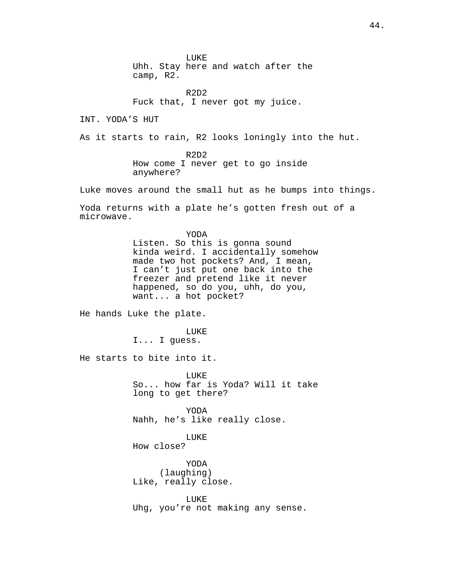LUKE Uhh. Stay here and watch after the camp, R2.

R2D2 Fuck that, I never got my juice.

INT. YODA'S HUT

As it starts to rain, R2 looks loningly into the hut.

R2D2 How come I never get to go inside anywhere?

Luke moves around the small hut as he bumps into things.

Yoda returns with a plate he's gotten fresh out of a microwave.

> YODA Listen. So this is gonna sound kinda weird. I accidentally somehow made two hot pockets? And, I mean, I can't just put one back into the freezer and pretend like it never happened, so do you, uhh, do you, want... a hot pocket?

He hands Luke the plate.

LUKE I... I guess.

He starts to bite into it.

LUKE So... how far is Yoda? Will it take long to get there?

YODA Nahh, he's like really close.

LUKE

How close?

YODA (laughing) Like, really close.

LUKE Uhg, you're not making any sense.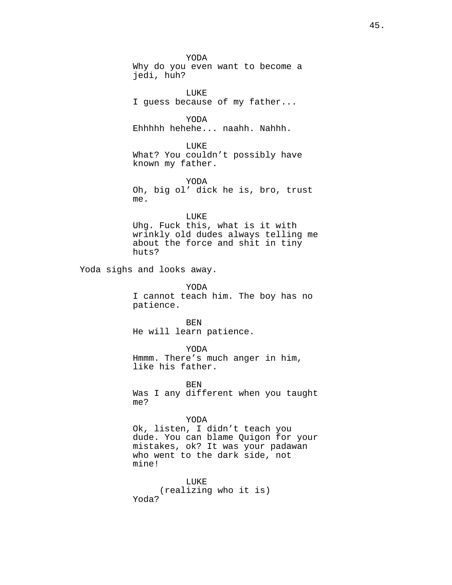YODA Why do you even want to become a jedi, huh? LUKE I guess because of my father... YODA Ehhhhh hehehe... naahh. Nahhh. LUKE What? You couldn't possibly have known my father. YODA Oh, big ol' dick he is, bro, trust me. LUKE Uhg. Fuck this, what is it with wrinkly old dudes always telling me about the force and shit in tiny huts? Yoda sighs and looks away. YODA I cannot teach him. The boy has no patience. BEN He will learn patience. YODA Hmmm. There's much anger in him, like his father. **BEN** Was I any different when you taught me? YODA Ok, listen, I didn't teach you dude. You can blame Quigon for your mistakes, ok? It was your padawan who went to the dark side, not mine! LUKE

(realizing who it is) Yoda?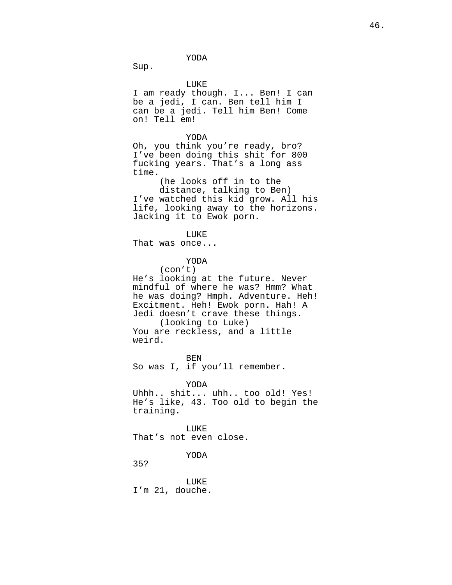YODA

Sup.

LUKE

I am ready though. I... Ben! I can be a jedi, I can. Ben tell him I can be a jedi. Tell him Ben! Come on! Tell em!

YODA

Oh, you think you're ready, bro? I've been doing this shit for 800 fucking years. That's a long ass time.

> (he looks off in to the distance, talking to Ben)

I've watched this kid grow. All his life, looking away to the horizons. Jacking it to Ewok porn.

LUKE

That was once...

YODA

(con't)

He's looking at the future. Never mindful of where he was? Hmm? What he was doing? Hmph. Adventure. Heh! Excitment. Heh! Ewok porn. Hah! A Jedi doesn't crave these things. (looking to Luke) You are reckless, and a little weird.

BEN So was I, if you'll remember.

YODA Uhhh.. shit... uhh.. too old! Yes! He's like, 43. Too old to begin the training.

LUKE That's not even close.

YODA

35?

LUKE I'm 21, douche.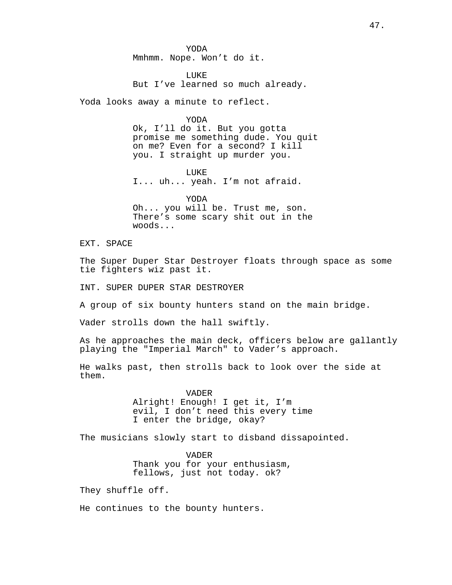YODA Mmhmm. Nope. Won't do it.

LUKE But I've learned so much already.

Yoda looks away a minute to reflect.

YODA

Ok, I'll do it. But you gotta promise me something dude. You quit on me? Even for a second? I kill you. I straight up murder you.

LUKE I... uh... yeah. I'm not afraid.

YODA Oh... you will be. Trust me, son. There's some scary shit out in the woods...

EXT. SPACE

The Super Duper Star Destroyer floats through space as some tie fighters wiz past it.

INT. SUPER DUPER STAR DESTROYER

A group of six bounty hunters stand on the main bridge.

Vader strolls down the hall swiftly.

As he approaches the main deck, officers below are gallantly playing the "Imperial March" to Vader's approach.

He walks past, then strolls back to look over the side at them.

> VADER Alright! Enough! I get it, I'm evil, I don't need this every time I enter the bridge, okay?

The musicians slowly start to disband dissapointed.

VADER Thank you for your enthusiasm, fellows, just not today. ok?

They shuffle off.

He continues to the bounty hunters.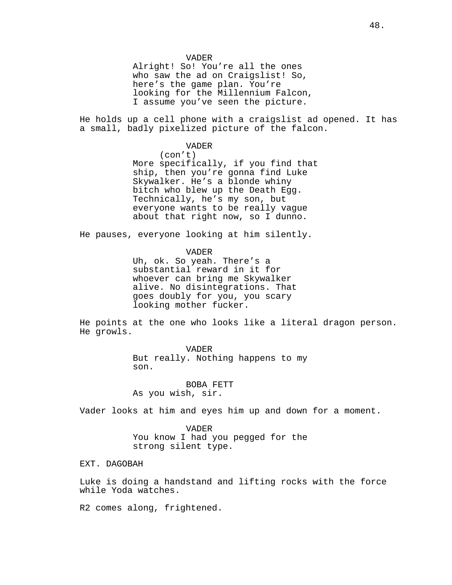VADER

Alright! So! You're all the ones who saw the ad on Craigslist! So, here's the game plan. You're looking for the Millennium Falcon, I assume you've seen the picture.

He holds up a cell phone with a craigslist ad opened. It has a small, badly pixelized picture of the falcon.

VADER

(con't) More specifically, if you find that ship, then you're gonna find Luke Skywalker. He's a blonde whiny bitch who blew up the Death Egg. Technically, he's my son, but everyone wants to be really vague about that right now, so I dunno.

He pauses, everyone looking at him silently.

VADER

Uh, ok. So yeah. There's a substantial reward in it for whoever can bring me Skywalker alive. No disintegrations. That goes doubly for you, you scary looking mother fucker.

He points at the one who looks like a literal dragon person. He growls.

> VADER But really. Nothing happens to my son.

BOBA FETT As you wish, sir.

Vader looks at him and eyes him up and down for a moment.

VADER You know I had you pegged for the strong silent type.

EXT. DAGOBAH

Luke is doing a handstand and lifting rocks with the force while Yoda watches.

R2 comes along, frightened.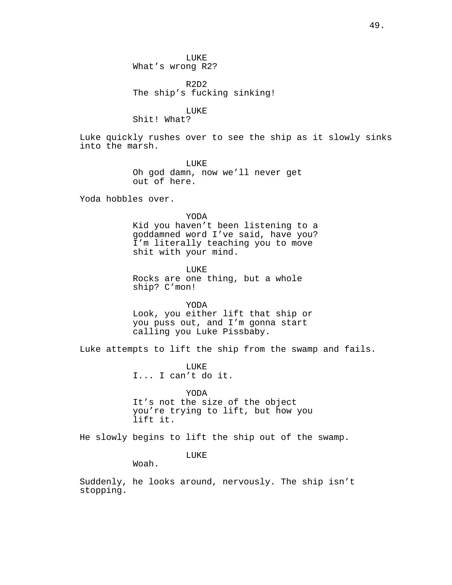LUKE What's wrong R2?

R2D2 The ship's fucking sinking!

LUKE

Shit! What?

Luke quickly rushes over to see the ship as it slowly sinks into the marsh.

> LUKE Oh god damn, now we'll never get out of here.

Yoda hobbles over.

YODA Kid you haven't been listening to a goddamned word I've said, have you? I'm literally teaching you to move shit with your mind.

LUKE Rocks are one thing, but a whole ship? C'mon!

YODA Look, you either lift that ship or you puss out, and I'm gonna start calling you Luke Pissbaby.

Luke attempts to lift the ship from the swamp and fails.

LUKE I... I can't do it.

YODA It's not the size of the object you're trying to lift, but how you lift it.

He slowly begins to lift the ship out of the swamp.

LUKE

Woah.

Suddenly, he looks around, nervously. The ship isn't stopping.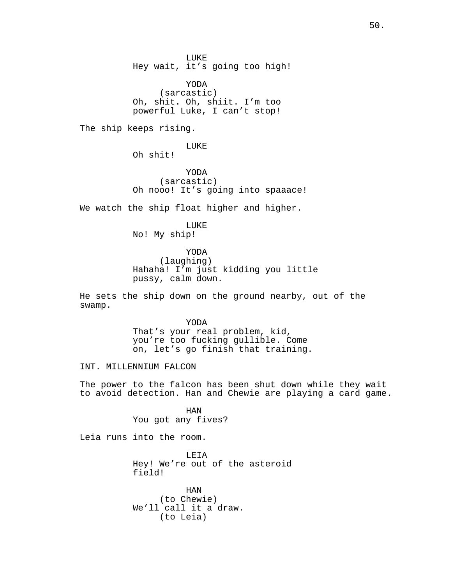LUKE Hey wait, it's going too high!

YODA (sarcastic) Oh, shit. Oh, shiit. I'm too powerful Luke, I can't stop!

The ship keeps rising.

LUKE Oh shit!

YODA (sarcastic) Oh nooo! It's going into spaaace!

We watch the ship float higher and higher.

LUKE No! My ship!

YODA (laughing) Hahaha! I'm just kidding you little pussy, calm down.

He sets the ship down on the ground nearby, out of the swamp.

> YODA That's your real problem, kid, you're too fucking gullible. Come on, let's go finish that training.

INT. MILLENNIUM FALCON

The power to the falcon has been shut down while they wait to avoid detection. Han and Chewie are playing a card game.

> HAN You got any fives?

Leia runs into the room.

LEIA Hey! We're out of the asteroid field!

HAN (to Chewie) We'll call it a draw. (to Leia)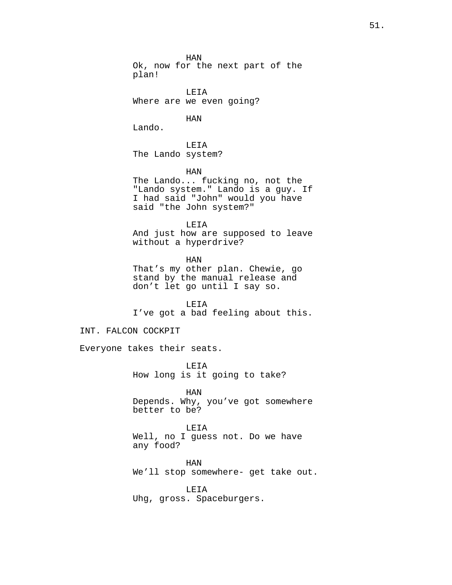HAN Ok, now for the next part of the plan!

LEIA Where are we even going?

HAN

Lando.

LEIA The Lando system?

HAN

The Lando... fucking no, not the "Lando system." Lando is a guy. If I had said "John" would you have said "the John system?"

LEIA And just how are supposed to leave without a hyperdrive?

HAN That's my other plan. Chewie, go stand by the manual release and don't let go until I say so.

LEIA I've got a bad feeling about this.

## INT. FALCON COCKPIT

Everyone takes their seats.

LEIA How long is it going to take?

HAN Depends. Why, you've got somewhere better to be?

LEIA Well, no I guess not. Do we have any food?

HAN We'll stop somewhere- get take out.

LEIA Uhg, gross. Spaceburgers.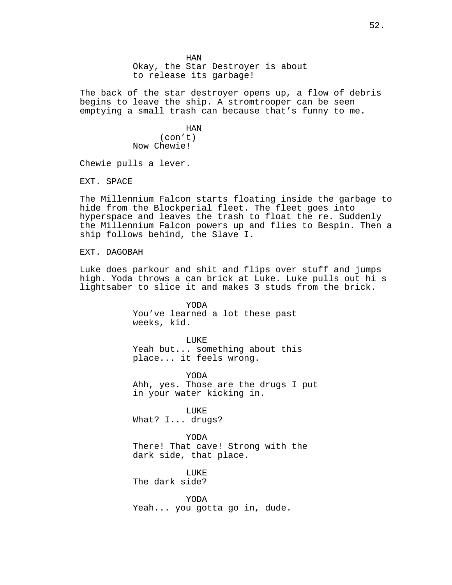HAN Okay, the Star Destroyer is about to release its garbage!

The back of the star destroyer opens up, a flow of debris begins to leave the ship. A stromtrooper can be seen emptying a small trash can because that's funny to me.

> HAN (con't) Now Chewie!

Chewie pulls a lever.

EXT. SPACE

The Millennium Falcon starts floating inside the garbage to hide from the Blockperial fleet. The fleet goes into hyperspace and leaves the trash to float the re. Suddenly the Millennium Falcon powers up and flies to Bespin. Then a ship follows behind, the Slave I.

EXT. DAGOBAH

Luke does parkour and shit and flips over stuff and jumps high. Yoda throws a can brick at Luke. Luke pulls out hi s lightsaber to slice it and makes 3 studs from the brick.

> YODA You've learned a lot these past weeks, kid.

LUKE Yeah but... something about this place... it feels wrong.

YODA Ahh, yes. Those are the drugs I put in your water kicking in.

LUKE What? I... drugs?

YODA There! That cave! Strong with the dark side, that place.

LUKE The dark side?

YODA Yeah... you gotta go in, dude.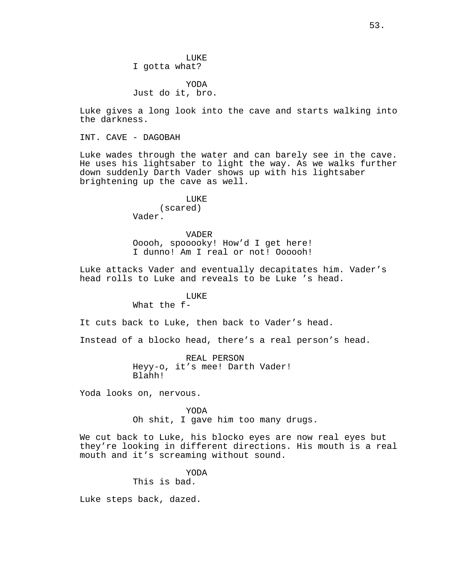LUKE I gotta what?

YODA Just do it, bro.

Luke gives a long look into the cave and starts walking into the darkness.

INT. CAVE - DAGOBAH

Luke wades through the water and can barely see in the cave. He uses his lightsaber to light the way. As we walks further down suddenly Darth Vader shows up with his lightsaber brightening up the cave as well.

> LUKE (scared) Vader.

VADER Ooooh, spooooky! How'd I get here! I dunno! Am I real or not! Oooooh!

Luke attacks Vader and eventually decapitates him. Vader's head rolls to Luke and reveals to be Luke 's head.

# LUKE

What the f-

It cuts back to Luke, then back to Vader's head.

Instead of a blocko head, there's a real person's head.

REAL PERSON Heyy-o, it's mee! Darth Vader! Blahh!

Yoda looks on, nervous.

YODA Oh shit, I gave him too many drugs.

We cut back to Luke, his blocko eyes are now real eyes but they're looking in different directions. His mouth is a real mouth and it's screaming without sound.

YODA

This is bad.

Luke steps back, dazed.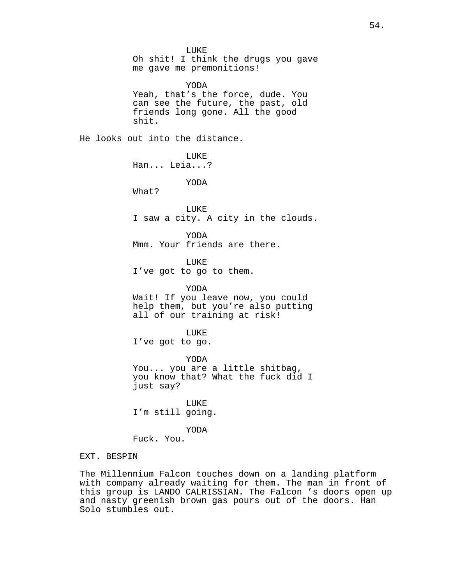LUKE Oh shit! I think the drugs you gave me gave me premonitions! YODA Yeah, that's the force, dude. You can see the future, the past, old friends long gone. All the good shit. He looks out into the distance. **LUKE** Han... Leia...? YODA What? LUKE I saw a city. A city in the clouds. YODA Mmm. Your friends are there. LUKE I've got to go to them. YODA Wait! If you leave now, you could help them, but you're also putting all of our training at risk! LUKE I've got to go. YODA You... you are a little shitbag, you know that? What the fuck did I just say? LUKE I'm still going. YODA Fuck. You. EXT. BESPIN

The Millennium Falcon touches down on a landing platform with company already waiting for them. The man in front of this group is LANDO CALRISSIAN. The Falcon 's doors open up and nasty greenish brown gas pours out of the doors. Han Solo stumbles out.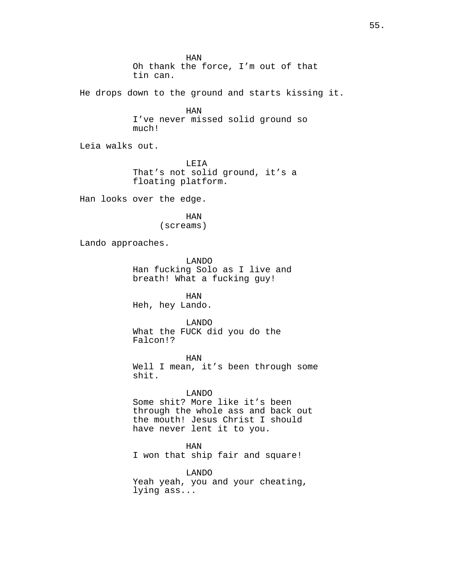HAN Oh thank the force, I'm out of that tin can. He drops down to the ground and starts kissing it. HAN I've never missed solid ground so much!

Leia walks out.

LEIA That's not solid ground, it's a floating platform.

Han looks over the edge.

HAN (screams)

Lando approaches.

LANDO Han fucking Solo as I live and breath! What a fucking guy!

HAN Heh, hey Lando.

LANDO What the FUCK did you do the Falcon!?

HAN Well I mean, it's been through some shit.

### LANDO

Some shit? More like it's been through the whole ass and back out the mouth! Jesus Christ I should have never lent it to you.

HAN

I won that ship fair and square!

LANDO Yeah yeah, you and your cheating, lying ass...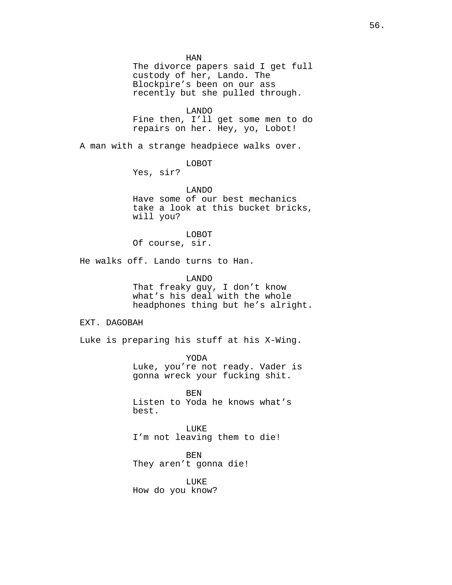HAN The divorce papers said I get full custody of her, Lando. The Blockpire's been on our ass recently but she pulled through. LANDO Fine then, I'll get some men to do repairs on her. Hey, yo, Lobot! A man with a strange headpiece walks over. LOBOT Yes, sir? LANDO Have some of our best mechanics take a look at this bucket bricks, will you? LOBOT Of course, sir. He walks off. Lando turns to Han. LANDO That freaky guy, I don't know what's his deal with the whole headphones thing but he's alright. EXT. DAGOBAH Luke is preparing his stuff at his X-Wing. YODA Luke, you're not ready. Vader is gonna wreck your fucking shit. BEN Listen to Yoda he knows what's best. LUKE I'm not leaving them to die! BEN They aren't gonna die! LUKE How do you know?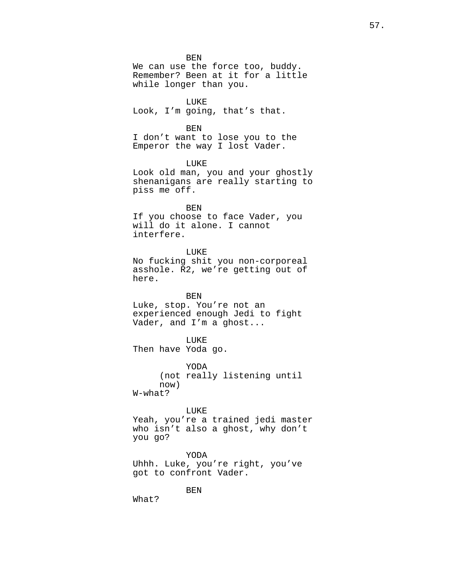BEN We can use the force too, buddy. Remember? Been at it for a little while longer than you.

LUKE Look, I'm going, that's that.

BEN

I don't want to lose you to the Emperor the way I lost Vader.

LUKE Look old man, you and your ghostly shenanigans are really starting to piss me off.

BEN If you choose to face Vader, you will do it alone. I cannot interfere.

LUKE No fucking shit you non-corporeal asshole. R2, we're getting out of here.

BEN Luke, stop. You're not an experienced enough Jedi to fight Vader, and I'm a ghost...

LUKE Then have Yoda go.

YODA (not really listening until now) W-what?

LUKE

Yeah, you're a trained jedi master who isn't also a ghost, why don't you go?

YODA Uhhh. Luke, you're right, you've got to confront Vader.

BEN

What?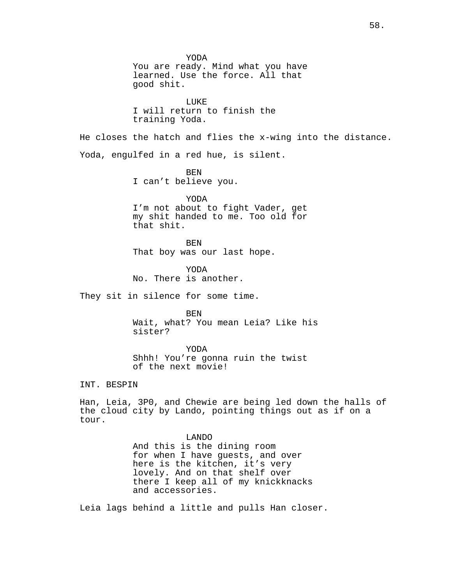YODA You are ready. Mind what you have learned. Use the force. All that good shit. LUKE I will return to finish the training Yoda. He closes the hatch and flies the x-wing into the distance. Yoda, engulfed in a red hue, is silent. BEN I can't believe you. YODA I'm not about to fight Vader, get my shit handed to me. Too old for that shit. BEN That boy was our last hope. YODA No. There is another. They sit in silence for some time. BEN Wait, what? You mean Leia? Like his sister? YODA Shhh! You're gonna ruin the twist of the next movie! INT. BESPIN Han, Leia, 3P0, and Chewie are being led down the halls of the cloud city by Lando, pointing things out as if on a tour. LANDO And this is the dining room for when I have guests, and over here is the kitchen, it's very lovely. And on that shelf over there I keep all of my knickknacks and accessories. Leia lags behind a little and pulls Han closer.

58.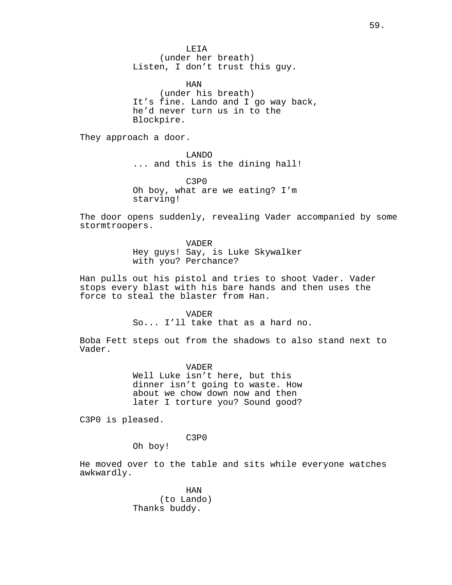LEIA (under her breath) Listen, I don't trust this guy.

HAN (under his breath) It's fine. Lando and I go way back, he'd never turn us in to the Blockpire.

They approach a door.

LANDO ... and this is the dining hall!

C3P0 Oh boy, what are we eating? I'm starving!

The door opens suddenly, revealing Vader accompanied by some stormtroopers.

> VADER Hey guys! Say, is Luke Skywalker with you? Perchance?

Han pulls out his pistol and tries to shoot Vader. Vader stops every blast with his bare hands and then uses the force to steal the blaster from Han.

VADER

So... I'll take that as a hard no.

Boba Fett steps out from the shadows to also stand next to Vader.

> VADER Well Luke isn't here, but this dinner isn't going to waste. How about we chow down now and then later I torture you? Sound good?

C3P0 is pleased.

C3P0

Oh boy!

He moved over to the table and sits while everyone watches awkwardly.

> HAN (to Lando) Thanks buddy.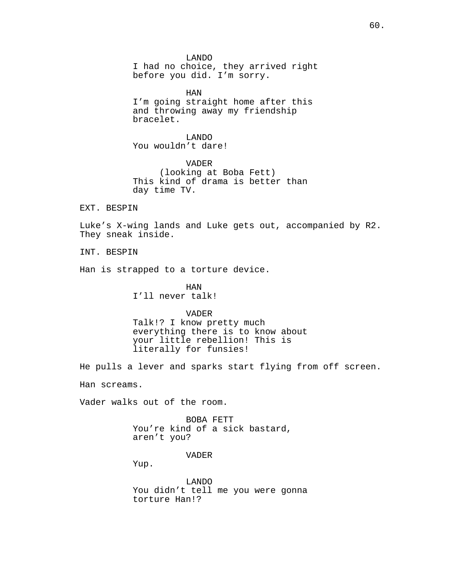LANDO I had no choice, they arrived right before you did. I'm sorry.

HAN I'm going straight home after this and throwing away my friendship bracelet.

LANDO You wouldn't dare!

VADER (looking at Boba Fett) This kind of drama is better than day time TV.

EXT. BESPIN

Luke's X-wing lands and Luke gets out, accompanied by R2. They sneak inside.

INT. BESPIN

Han is strapped to a torture device.

HAN I'll never talk!

VADER

Talk!? I know pretty much everything there is to know about your little rebellion! This is literally for funsies!

He pulls a lever and sparks start flying from off screen.

Han screams.

Vader walks out of the room.

BOBA FETT You're kind of a sick bastard, aren't you?

VADER

Yup.

LANDO You didn't tell me you were gonna torture Han!?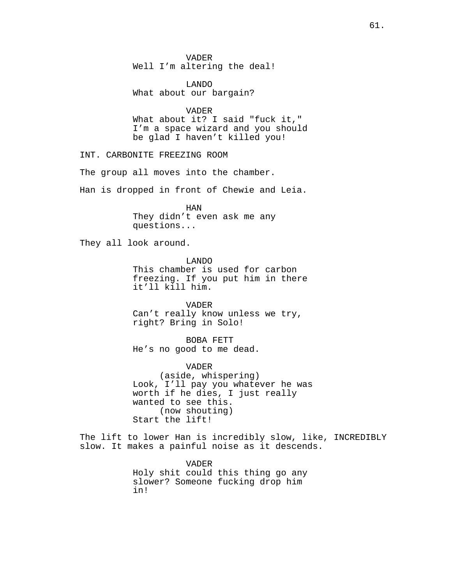VADER Well I'm altering the deal!

LANDO What about our bargain?

VADER

What about it? I said "fuck it," I'm a space wizard and you should be glad I haven't killed you!

INT. CARBONITE FREEZING ROOM

The group all moves into the chamber.

Han is dropped in front of Chewie and Leia.

HAN They didn't even ask me any questions...

They all look around.

LANDO This chamber is used for carbon freezing. If you put him in there it'll kill him.

VADER Can't really know unless we try, right? Bring in Solo!

BOBA FETT He's no good to me dead.

VADER (aside, whispering) Look, I'll pay you whatever he was worth if he dies, I just really wanted to see this. (now shouting) Start the lift!

The lift to lower Han is incredibly slow, like, INCREDIBLY slow. It makes a painful noise as it descends.

> VADER Holy shit could this thing go any slower? Someone fucking drop him in!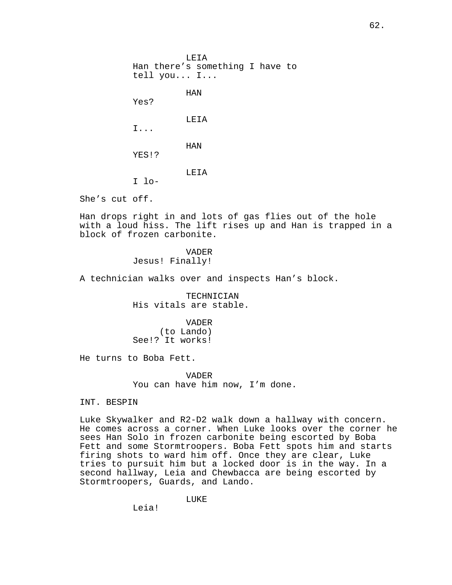LEIA Han there's something I have to tell you... I... HAN Yes? LEIA I... HAN YES!? LEIA I lo-

She's cut off.

Han drops right in and lots of gas flies out of the hole with a loud hiss. The lift rises up and Han is trapped in a block of frozen carbonite.

> VADER Jesus! Finally!

A technician walks over and inspects Han's block.

TECHNICIAN His vitals are stable.

VADER (to Lando) See!? It works!

He turns to Boba Fett.

VADER You can have him now, I'm done.

# INT. BESPIN

Luke Skywalker and R2-D2 walk down a hallway with concern. He comes across a corner. When Luke looks over the corner he sees Han Solo in frozen carbonite being escorted by Boba Fett and some Stormtroopers. Boba Fett spots him and starts firing shots to ward him off. Once they are clear, Luke tries to pursuit him but a locked door is in the way. In a second hallway, Leia and Chewbacca are being escorted by Stormtroopers, Guards, and Lando.

LUKE

Leia!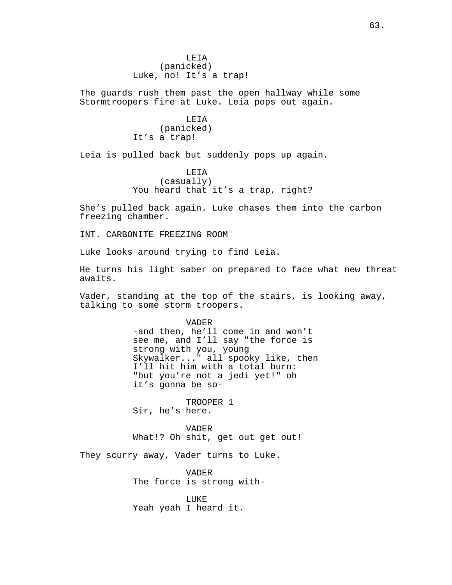LEIA (panicked) Luke, no! It's a trap!

The guards rush them past the open hallway while some Stormtroopers fire at Luke. Leia pops out again.

> LEIA (panicked) It's a trap!

Leia is pulled back but suddenly pops up again.

LEIA (casually) You heard that it's a trap, right?

She's pulled back again. Luke chases them into the carbon freezing chamber.

INT. CARBONITE FREEZING ROOM

Luke looks around trying to find Leia.

He turns his light saber on prepared to face what new threat awaits.

Vader, standing at the top of the stairs, is looking away, talking to some storm troopers.

> VADER -and then, he'll come in and won't see me, and I'll say "the force is strong with you, young Skywalker..." all spooky like, then I'll hit him with a total burn: "but you're not a jedi yet!" oh it's gonna be so-

TROOPER 1 Sir, he's here.

VADER What!? Oh shit, get out get out!

They scurry away, Vader turns to Luke.

VADER The force is strong with-

LUKE Yeah yeah I heard it.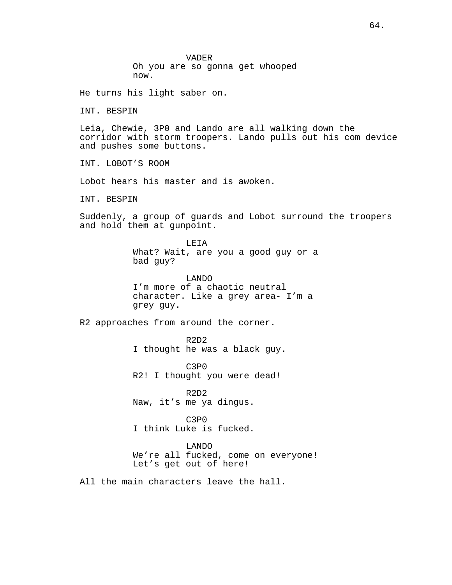VADER Oh you are so gonna get whooped now.

He turns his light saber on.

INT. BESPIN

Leia, Chewie, 3P0 and Lando are all walking down the corridor with storm troopers. Lando pulls out his com device and pushes some buttons.

INT. LOBOT'S ROOM

Lobot hears his master and is awoken.

INT. BESPIN

Suddenly, a group of guards and Lobot surround the troopers and hold them at gunpoint.

> LEIA What? Wait, are you a good guy or a bad guy?

LANDO I'm more of a chaotic neutral character. Like a grey area- I'm a grey guy.

R2 approaches from around the corner.

R2D2 I thought he was a black guy.

C3P0 R2! I thought you were dead!

R2D2 Naw, it's me ya dingus.

C3P0 I think Luke is fucked.

LANDO We're all fucked, come on everyone! Let's get out of here!

All the main characters leave the hall.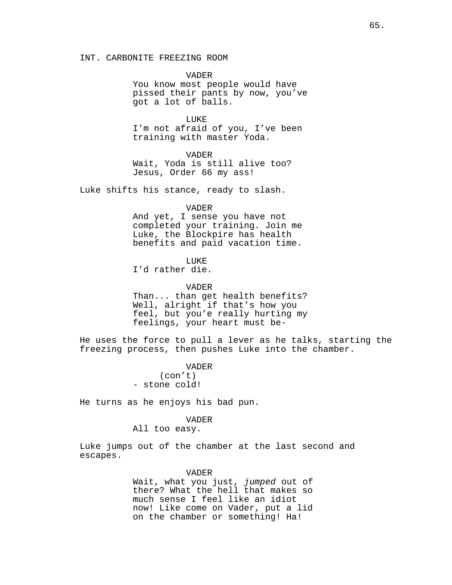INT. CARBONITE FREEZING ROOM

VADER You know most people would have pissed their pants by now, you've got a lot of balls.

LUKE I'm not afraid of you, I've been training with master Yoda.

VADER

Wait, Yoda is still alive too? Jesus, Order 66 my ass!

Luke shifts his stance, ready to slash.

### VADER

And yet, I sense you have not completed your training. Join me Luke, the Blockpire has health benefits and paid vacation time.

## LUKE

I'd rather die.

VADER

Than... than get health benefits? Well, alright if that's how you feel, but you'e really hurting my feelings, your heart must be-

He uses the force to pull a lever as he talks, starting the freezing process, then pushes Luke into the chamber.

> VADER (con't) - stone cold!

He turns as he enjoys his bad pun.

#### VADER

All too easy.

Luke jumps out of the chamber at the last second and escapes.

### VADER

Wait, what you just, *jumped* out of there? What the hell that makes so much sense I feel like an idiot now! Like come on Vader, put a lid on the chamber or something! Ha!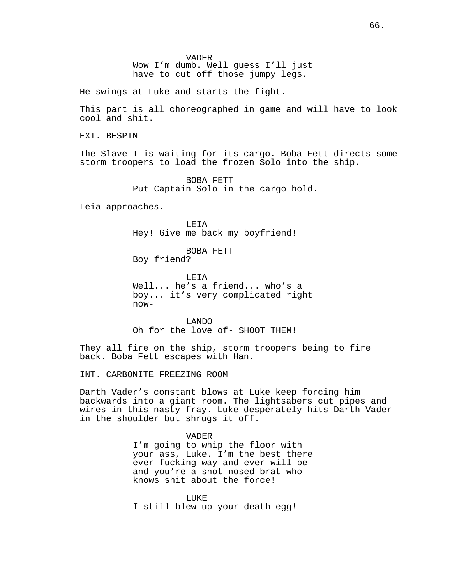VADER Wow I'm dumb. Well guess I'll just have to cut off those jumpy legs.

He swings at Luke and starts the fight.

This part is all choreographed in game and will have to look cool and shit.

EXT. BESPIN

The Slave I is waiting for its cargo. Boba Fett directs some storm troopers to load the frozen Solo into the ship.

> BOBA FETT Put Captain Solo in the cargo hold.

Leia approaches.

LEIA Hey! Give me back my boyfriend!

BOBA FETT Boy friend?

LEIA Well... he's a friend... who's a boy... it's very complicated right now-

LANDO Oh for the love of- SHOOT THEM!

They all fire on the ship, storm troopers being to fire back. Boba Fett escapes with Han.

INT. CARBONITE FREEZING ROOM

Darth Vader's constant blows at Luke keep forcing him backwards into a giant room. The lightsabers cut pipes and wires in this nasty fray. Luke desperately hits Darth Vader in the shoulder but shrugs it off.

> VADER I'm going to whip the floor with your ass, Luke. I'm the best there ever fucking way and ever will be and you're a snot nosed brat who knows shit about the force!

**LIKE** I still blew up your death egg!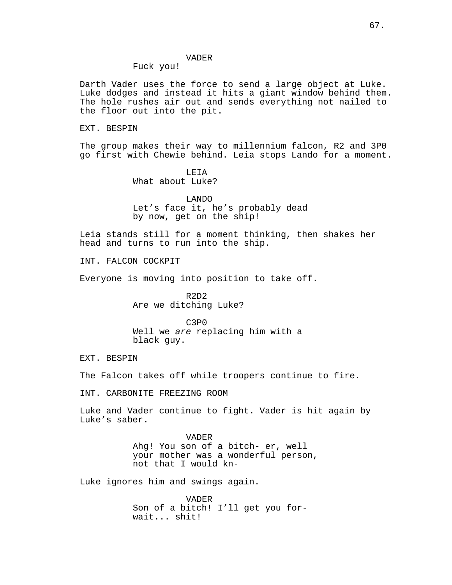## VADER

Fuck you!

Darth Vader uses the force to send a large object at Luke. Luke dodges and instead it hits a giant window behind them. The hole rushes air out and sends everything not nailed to the floor out into the pit.

EXT. BESPIN

The group makes their way to millennium falcon, R2 and 3P0 go first with Chewie behind. Leia stops Lando for a moment.

> LEIA What about Luke?

LANDO Let's face it, he's probably dead by now, get on the ship!

Leia stands still for a moment thinking, then shakes her head and turns to run into the ship.

INT. FALCON COCKPIT

Everyone is moving into position to take off.

R2D2 Are we ditching Luke?

C3P0 Well we *are* replacing him with a black guy.

EXT. BESPIN

The Falcon takes off while troopers continue to fire.

INT. CARBONITE FREEZING ROOM

Luke and Vader continue to fight. Vader is hit again by Luke's saber.

> VADER Ahg! You son of a bitch- er, well your mother was a wonderful person, not that I would kn-

Luke ignores him and swings again.

VADER Son of a bitch! I'll get you forwait... shit!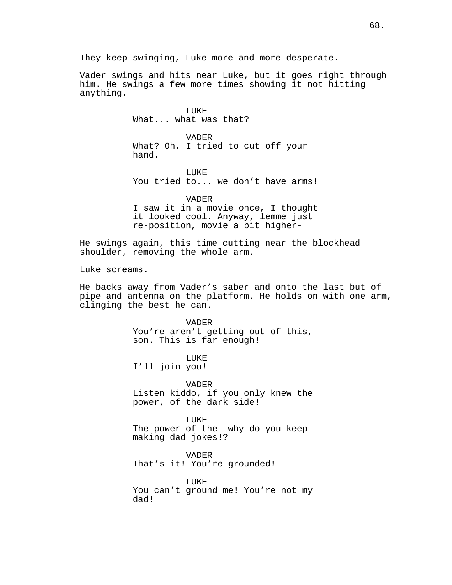Vader swings and hits near Luke, but it goes right through him. He swings a few more times showing it not hitting anything.

> LUKE What... what was that?

VADER What? Oh. I tried to cut off your hand.

LUKE You tried to... we don't have arms!

VADER I saw it in a movie once, I thought it looked cool. Anyway, lemme just re-position, movie a bit higher-

He swings again, this time cutting near the blockhead shoulder, removing the whole arm.

Luke screams.

He backs away from Vader's saber and onto the last but of pipe and antenna on the platform. He holds on with one arm, clinging the best he can.

> VADER You're aren't getting out of this, son. This is far enough!

LUKE I'll join you!

VADER Listen kiddo, if you only knew the power, of the dark side!

LUKE The power of the- why do you keep making dad jokes!?

VADER That's it! You're grounded!

LUKE You can't ground me! You're not my dad!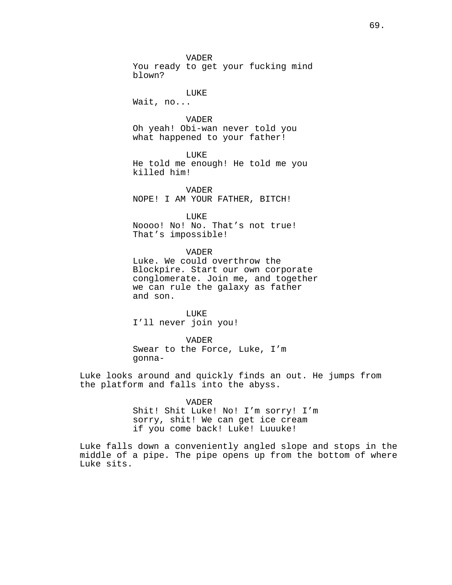VADER You ready to get your fucking mind blown?

### LUKE

Wait, no...

VADER Oh yeah! Obi-wan never told you what happened to your father!

LUKE He told me enough! He told me you killed him!

VADER NOPE! I AM YOUR FATHER, BITCH!

LUKE

Noooo! No! No. That's not true! That's impossible!

VADER

Luke. We could overthrow the Blockpire. Start our own corporate conglomerate. Join me, and together we can rule the galaxy as father and son.

LUKE I'll never join you!

VADER Swear to the Force, Luke, I'm gonna-

Luke looks around and quickly finds an out. He jumps from the platform and falls into the abyss.

VADER

Shit! Shit Luke! No! I'm sorry! I'm sorry, shit! We can get ice cream if you come back! Luke! Luuuke!

Luke falls down a conveniently angled slope and stops in the middle of a pipe. The pipe opens up from the bottom of where Luke sits.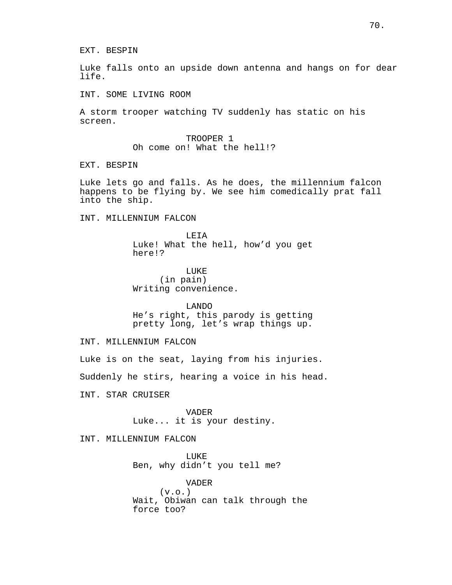EXT. BESPIN

Luke falls onto an upside down antenna and hangs on for dear life.

INT. SOME LIVING ROOM

A storm trooper watching TV suddenly has static on his screen.

> TROOPER 1 Oh come on! What the hell!?

EXT. BESPIN

Luke lets go and falls. As he does, the millennium falcon happens to be flying by. We see him comedically prat fall into the ship.

INT. MILLENNIUM FALCON

LEIA Luke! What the hell, how'd you get here!?

LUKE (in pain) Writing convenience.

LANDO He's right, this parody is getting pretty long, let's wrap things up.

INT. MILLENNIUM FALCON

Luke is on the seat, laying from his injuries.

Suddenly he stirs, hearing a voice in his head.

INT. STAR CRUISER

VADER Luke... it is your destiny.

INT. MILLENNIUM FALCON

LUKE Ben, why didn't you tell me?

VADER  $(v.o.)$ Wait, Obiwan can talk through the force too?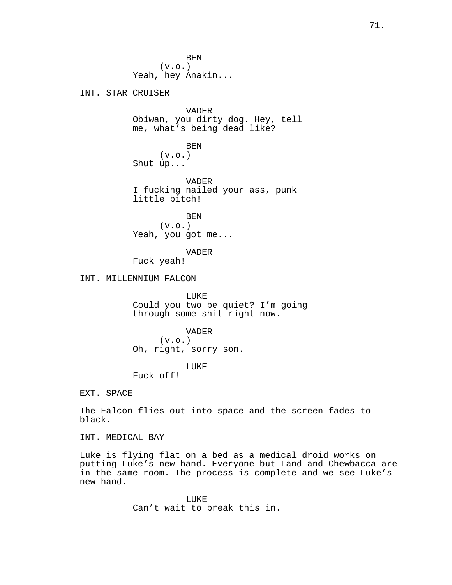BEN  $(v.o.)$ Yeah, hey Anakin...

INT. STAR CRUISER

VADER Obiwan, you dirty dog. Hey, tell me, what's being dead like?

BEN  $(v.o.)$ Shut up...

VADER I fucking nailed your ass, punk little bitch!

BEN  $(v.o.)$ Yeah, you got me...

VADER

Fuck yeah!

INT. MILLENNIUM FALCON

LUKE Could you two be quiet? I'm going through some shit right now.

VADER

 $(v.o.)$ Oh, right, sorry son.

# LUKE

Fuck off!

EXT. SPACE

The Falcon flies out into space and the screen fades to black.

INT. MEDICAL BAY

Luke is flying flat on a bed as a medical droid works on putting Luke's new hand. Everyone but Land and Chewbacca are in the same room. The process is complete and we see Luke's new hand.

> LUKE Can't wait to break this in.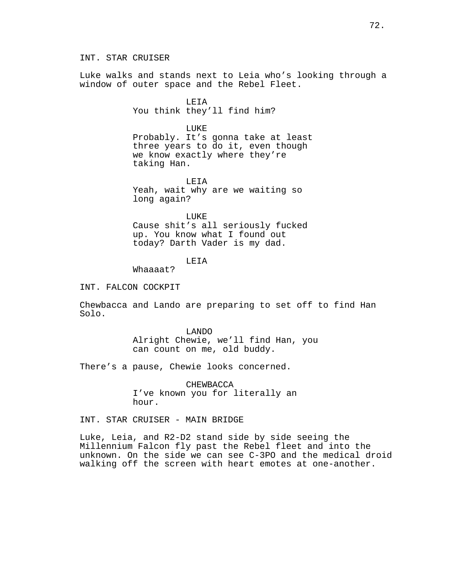INT. STAR CRUISER

Luke walks and stands next to Leia who's looking through a window of outer space and the Rebel Fleet.

> LEIA You think they'll find him?

> > LUKE

Probably. It's gonna take at least three years to do it, even though we know exactly where they're taking Han.

LEIA Yeah, wait why are we waiting so long again?

LUKE

Cause shit's all seriously fucked up. You know what I found out today? Darth Vader is my dad.

LEIA

Whaaaat?

INT. FALCON COCKPIT

Chewbacca and Lando are preparing to set off to find Han Solo.

> LANDO Alright Chewie, we'll find Han, you can count on me, old buddy.

There's a pause, Chewie looks concerned.

CHEWBACCA I've known you for literally an hour.

INT. STAR CRUISER - MAIN BRIDGE

Luke, Leia, and R2-D2 stand side by side seeing the Millennium Falcon fly past the Rebel fleet and into the unknown. On the side we can see C-3PO and the medical droid walking off the screen with heart emotes at one-another.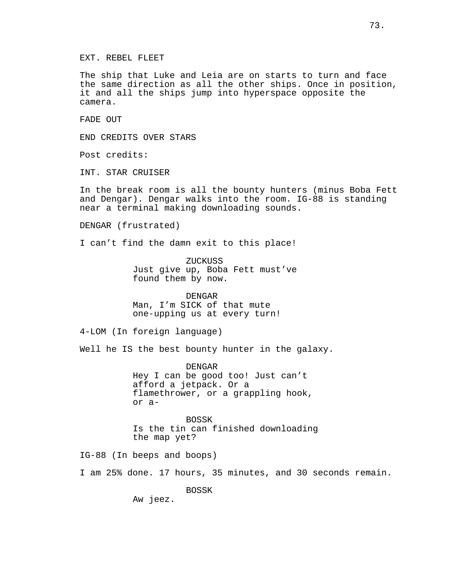EXT. REBEL FLEET

The ship that Luke and Leia are on starts to turn and face the same direction as all the other ships. Once in position, it and all the ships jump into hyperspace opposite the camera.

FADE OUT

END CREDITS OVER STARS

Post credits:

INT. STAR CRUISER

In the break room is all the bounty hunters (minus Boba Fett and Dengar). Dengar walks into the room. IG-88 is standing near a terminal making downloading sounds.

DENGAR (frustrated)

I can't find the damn exit to this place!

ZUCKUSS Just give up, Boba Fett must've found them by now.

DENGAR Man, I'm SICK of that mute one-upping us at every turn!

4-LOM (In foreign language)

Well he IS the best bounty hunter in the galaxy.

DENGAR Hey I can be good too! Just can't afford a jetpack. Or a flamethrower, or a grappling hook, or a-

BOSSK Is the tin can finished downloading the map yet?

IG-88 (In beeps and boops)

I am 25% done. 17 hours, 35 minutes, and 30 seconds remain.

BOSSK

Aw jeez.